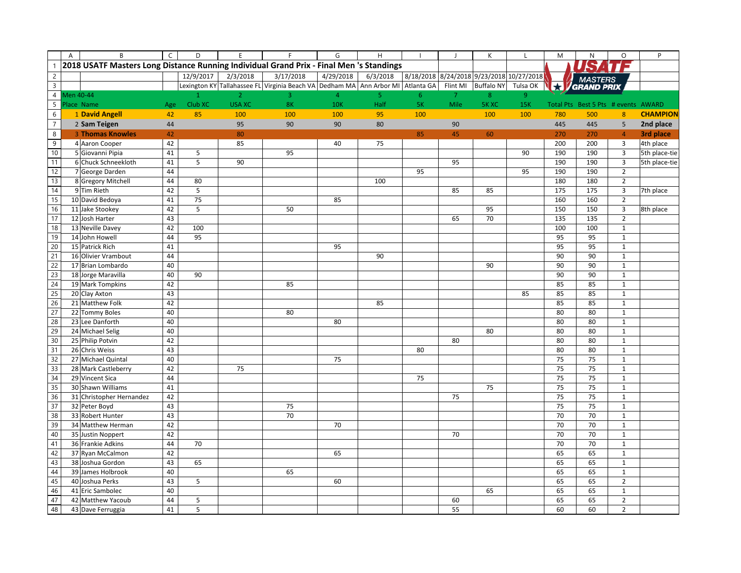|                | A | B                                                                                       | $\mathsf C$ | D         | E              | F                                                                               | G              | H              |                | $\overline{1}$ | K                 | L                                        | M       | ${\sf N}$                           | $\circ$          | P               |
|----------------|---|-----------------------------------------------------------------------------------------|-------------|-----------|----------------|---------------------------------------------------------------------------------|----------------|----------------|----------------|----------------|-------------------|------------------------------------------|---------|-------------------------------------|------------------|-----------------|
|                |   | 2018 USATF Masters Long Distance Running Individual Grand Prix - Final Men 's Standings |             |           |                |                                                                                 |                |                |                |                |                   |                                          |         |                                     |                  |                 |
| $\overline{2}$ |   |                                                                                         |             | 12/9/2017 | 2/3/2018       | 3/17/2018                                                                       | 4/29/2018      | 6/3/2018       |                |                |                   | 8/18/2018 8/24/2018 9/23/2018 10/27/2018 |         |                                     |                  |                 |
| $\overline{3}$ |   |                                                                                         |             |           |                | Lexington KY Tallahassee FL Virginia Beach VA Dedham MA Ann Arbor MI Atlanta GA |                |                |                | Flint MI       | <b>Buffalo NY</b> | Tulsa OK                                 | $\star$ | <b>MASTERS</b><br>GRAND PRIX        |                  |                 |
| $\overline{4}$ |   | Men 40-44                                                                               |             |           | $\overline{2}$ | 3                                                                               | $\overline{4}$ | 5 <sub>1</sub> | 6 <sup>1</sup> | $\overline{7}$ | 8                 | 9 <sup>°</sup>                           |         |                                     |                  |                 |
| $\overline{5}$ |   | Place Name                                                                              | Age         | Club XC   | <b>USA XC</b>  | <b>8K</b>                                                                       | <b>10K</b>     | Half           | <b>5K</b>      | Mile           | 5K XC             | <b>15K</b>                               |         | Total Pts Best 5 Pts # events AWARD |                  |                 |
| $\sqrt{6}$     |   | 1 David Angell                                                                          | 42          | 85        | 100            | 100                                                                             | 100            | 95             | 100            |                | 100               | 100                                      | 780     | 500                                 | $\boldsymbol{8}$ | <b>CHAMPION</b> |
| $\overline{7}$ |   | 2 Sam Teigen                                                                            | 44          |           | 95             | 90                                                                              | 90             | 80             |                | 90             |                   |                                          | 445     | 445                                 | 5                | 2nd place       |
| 8              |   | <b>3 Thomas Knowles</b>                                                                 | 42          |           | 80             |                                                                                 |                |                | 85             | 45             | 60                |                                          | 270     | 270                                 | $\overline{4}$   | 3rd place       |
| 9              |   | 4 Aaron Cooper                                                                          | 42          |           | 85             |                                                                                 | 40             | 75             |                |                |                   |                                          | 200     | 200                                 | $\overline{3}$   | 4th place       |
| 10             |   | 5 Giovanni Pipia                                                                        | 41          | 5         |                | 95                                                                              |                |                |                |                |                   | 90                                       | 190     | 190                                 | $\overline{3}$   | 5th place-tie   |
| 11             |   | 6 Chuck Schneekloth                                                                     | 41          | 5         | 90             |                                                                                 |                |                |                | 95             |                   |                                          | 190     | 190                                 | $\overline{3}$   | 5th place-tie   |
| 12             |   | 7 George Darden                                                                         | 44          |           |                |                                                                                 |                |                | 95             |                |                   | 95                                       | 190     | 190                                 | $\overline{2}$   |                 |
| 13             |   | 8 Gregory Mitchell                                                                      | 44          | 80        |                |                                                                                 |                | 100            |                |                |                   |                                          | 180     | 180                                 | $\overline{2}$   |                 |
| 14             |   | 9 Tim Rieth                                                                             | 42          | 5         |                |                                                                                 |                |                |                | 85             | 85                |                                          | 175     | 175                                 | 3                | 7th place       |
| 15             |   | 10 David Bedoya                                                                         | 41          | 75        |                |                                                                                 | 85             |                |                |                |                   |                                          | 160     | 160                                 | $\overline{2}$   |                 |
| 16             |   | 11 Jake Stookey                                                                         | 42          | 5         |                | 50                                                                              |                |                |                |                | 95                |                                          | 150     | 150                                 | $\overline{3}$   | 8th place       |
| 17             |   | 12 Josh Harter                                                                          | 43          |           |                |                                                                                 |                |                |                | 65             | 70                |                                          | 135     | 135                                 | $\overline{2}$   |                 |
| 18             |   | 13 Neville Davey                                                                        | 42          | 100       |                |                                                                                 |                |                |                |                |                   |                                          | 100     | 100                                 | $\mathbf 1$      |                 |
| 19             |   | 14 John Howell                                                                          | 44          | 95        |                |                                                                                 |                |                |                |                |                   |                                          | 95      | 95                                  | $\,1\,$          |                 |
| 20             |   | 15 Patrick Rich                                                                         | 41          |           |                |                                                                                 | 95             |                |                |                |                   |                                          | 95      | 95                                  | $\mathbf 1$      |                 |
| 21             |   | 16 Olivier Vrambout                                                                     | 44          |           |                |                                                                                 |                | 90             |                |                |                   |                                          | 90      | 90                                  | $\,1\,$          |                 |
| 22             |   | 17 Brian Lombardo                                                                       | 40          |           |                |                                                                                 |                |                |                |                | 90                |                                          | 90      | 90                                  | $\mathbf{1}$     |                 |
| 23             |   | 18 Jorge Maravilla                                                                      | 40          | 90        |                |                                                                                 |                |                |                |                |                   |                                          | 90      | 90                                  | $\,1\,$          |                 |
| 24             |   | 19 Mark Tompkins                                                                        | 42          |           |                | 85                                                                              |                |                |                |                |                   |                                          | 85      | 85                                  | $\mathbf{1}$     |                 |
| 25             |   | 20 Clay Axton                                                                           | 43          |           |                |                                                                                 |                |                |                |                |                   | 85                                       | 85      | 85                                  | $\,1\,$          |                 |
| 26             |   | 21 Matthew Folk                                                                         | 42          |           |                |                                                                                 |                | 85             |                |                |                   |                                          | 85      | 85                                  | $\,1\,$          |                 |
| 27             |   | 22 Tommy Boles                                                                          | 40          |           |                | 80                                                                              |                |                |                |                |                   |                                          | 80      | 80                                  | $\mathbf 1$      |                 |
| 28             |   | 23 Lee Danforth                                                                         | 40          |           |                |                                                                                 | 80             |                |                |                |                   |                                          | 80      | 80                                  | $\mathbf{1}$     |                 |
| 29             |   | 24 Michael Selig                                                                        | 40          |           |                |                                                                                 |                |                |                |                | 80                |                                          | 80      | 80                                  | $\mathbf 1$      |                 |
| 30             |   | 25 Philip Potvin                                                                        | 42          |           |                |                                                                                 |                |                |                | 80             |                   |                                          | 80      | 80                                  | $\mathbf 1$      |                 |
| 31             |   | 26 Chris Weiss                                                                          | 43          |           |                |                                                                                 |                |                | 80             |                |                   |                                          | 80      | 80                                  | $\mathbf{1}$     |                 |
| 32             |   | 27 Michael Quintal                                                                      | 40          |           |                |                                                                                 | 75             |                |                |                |                   |                                          | 75      | 75                                  | $\mathbf 1$      |                 |
| 33             |   | 28 Mark Castleberry                                                                     | 42          |           | 75             |                                                                                 |                |                |                |                |                   |                                          | 75      | 75                                  | $\mathbf{1}$     |                 |
| 34             |   | 29 Vincent Sica                                                                         | 44          |           |                |                                                                                 |                |                | 75             |                |                   |                                          | 75      | 75                                  | $\mathbf 1$      |                 |
| 35             |   | 30 Shawn Williams                                                                       | 41          |           |                |                                                                                 |                |                |                |                | 75                |                                          | 75      | 75                                  | $\,1\,$          |                 |
| 36             |   | 31 Christopher Hernandez                                                                | 42          |           |                |                                                                                 |                |                |                | 75             |                   |                                          | 75      | 75                                  | $\mathbf 1$      |                 |
| 37             |   | 32 Peter Boyd                                                                           | 43          |           |                | 75                                                                              |                |                |                |                |                   |                                          | 75      | 75                                  | $\mathbf 1$      |                 |
| 38             |   | 33 Robert Hunter                                                                        | 43          |           |                | 70                                                                              |                |                |                |                |                   |                                          | 70      | 70                                  | $\mathbf 1$      |                 |
| 39             |   | 34 Matthew Herman                                                                       | 42          |           |                |                                                                                 | 70             |                |                |                |                   |                                          | 70      | 70                                  | $\mathbf 1$      |                 |
| 40             |   | 35 Justin Noppert                                                                       | 42          |           |                |                                                                                 |                |                |                | 70             |                   |                                          | 70      | 70                                  | $\mathbf 1$      |                 |
| 41             |   | 36 Frankie Adkins                                                                       | 44          | 70        |                |                                                                                 |                |                |                |                |                   |                                          | 70      | 70                                  | $\mathbf 1$      |                 |
| 42             |   | 37 Ryan McCalmon                                                                        | 42          |           |                |                                                                                 | 65             |                |                |                |                   |                                          | 65      | 65                                  | $\mathbf{1}$     |                 |
| 43             |   | 38 Joshua Gordon                                                                        | 43          | 65        |                |                                                                                 |                |                |                |                |                   |                                          | 65      | 65                                  | $\mathbf 1$      |                 |
| 44             |   | 39 James Holbrook                                                                       | 40          |           |                | 65                                                                              |                |                |                |                |                   |                                          | 65      | 65                                  | $\mathbf 1$      |                 |
| 45             |   | 40 Joshua Perks                                                                         | 43          | 5         |                |                                                                                 | 60             |                |                |                |                   |                                          | 65      | 65                                  | $\overline{2}$   |                 |
| 46             |   | 41 Eric Sambolec                                                                        | 40          |           |                |                                                                                 |                |                |                |                | 65                |                                          | 65      | 65                                  | $\,1\,$          |                 |
| 47             |   | 42 Matthew Yacoub                                                                       | 44          | 5         |                |                                                                                 |                |                |                | 60             |                   |                                          | 65      | 65                                  | $\overline{2}$   |                 |
| 48             |   | 43 Dave Ferruggia                                                                       | 41          | 5         |                |                                                                                 |                |                |                | 55             |                   |                                          | 60      | 60                                  | $\overline{2}$   |                 |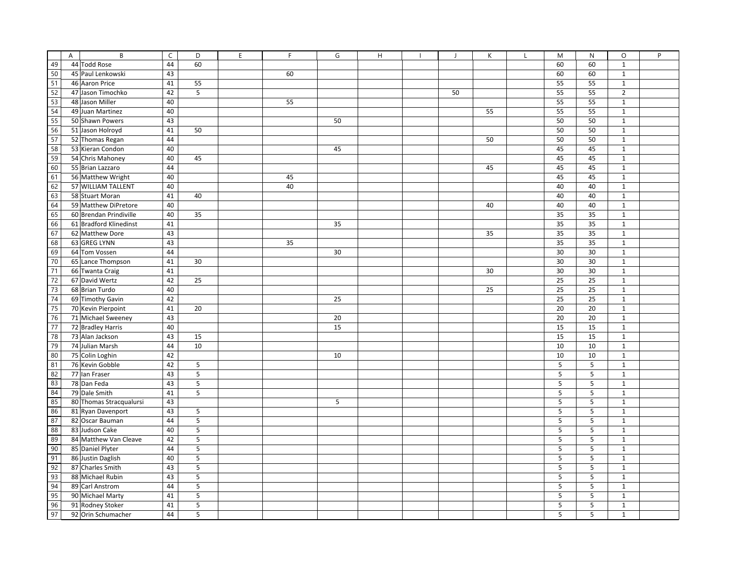| 49 | $\overline{A}$ | B<br>44 Todd Rose       | $\mathsf C$<br>44 | D<br>60 | E | F  | G  | H | $\mathbf{I}$ | К  | $\mathbf{I}$ | M<br>60 | N<br>60 | $\circ$<br>$\mathbf 1$ | P |
|----|----------------|-------------------------|-------------------|---------|---|----|----|---|--------------|----|--------------|---------|---------|------------------------|---|
| 50 |                | 45 Paul Lenkowski       | 43                |         |   | 60 |    |   |              |    |              | 60      | 60      | $\mathbf{1}$           |   |
| 51 |                | 46 Aaron Price          |                   |         |   |    |    |   |              |    |              |         |         |                        |   |
| 52 |                |                         | 41                | 55      |   |    |    |   |              |    |              | 55      | 55      | $\mathbf 1$            |   |
| 53 |                | 47 Jason Timochko       | 42                | 5       |   |    |    |   | 50           |    |              | 55      | 55      | $\overline{2}$         |   |
|    |                | 48 Jason Miller         | 40                |         |   | 55 |    |   |              |    |              | 55      | 55      | $\mathbf 1$            |   |
| 54 |                | 49 Juan Martinez        | 40                |         |   |    |    |   |              | 55 |              | 55      | 55      | $\mathbf 1$            |   |
| 55 |                | 50 Shawn Powers         | 43                |         |   |    | 50 |   |              |    |              | 50      | 50      | $\mathbf 1$            |   |
| 56 |                | 51 Jason Holroyd        | 41                | 50      |   |    |    |   |              |    |              | 50      | 50      | $\mathbf{1}$           |   |
| 57 |                | 52 Thomas Regan         | 44                |         |   |    |    |   |              | 50 |              | 50      | 50      | $\mathbf 1$            |   |
| 58 |                | 53 Kieran Condon        | 40                |         |   |    | 45 |   |              |    |              | 45      | 45      | $\mathbf{1}$           |   |
| 59 |                | 54 Chris Mahoney        | 40                | 45      |   |    |    |   |              |    |              | 45      | 45      | $\mathbf 1$            |   |
| 60 |                | 55 Brian Lazzaro        | 44                |         |   |    |    |   |              | 45 |              | 45      | 45      | $\mathbf{1}$           |   |
| 61 |                | 56 Matthew Wright       | 40                |         |   | 45 |    |   |              |    |              | 45      | 45      | $\mathbf{1}$           |   |
| 62 |                | 57 WILLIAM TALLENT      | 40                |         |   | 40 |    |   |              |    |              | 40      | 40      | $\mathbf 1$            |   |
| 63 |                | 58 Stuart Moran         | 41                | 40      |   |    |    |   |              |    |              | 40      | 40      | $\mathbf 1$            |   |
| 64 |                | 59 Matthew DiPretore    | 40                |         |   |    |    |   |              | 40 |              | 40      | 40      | $\mathbf{1}$           |   |
| 65 |                | 60 Brendan Prindiville  | 40                | 35      |   |    |    |   |              |    |              | 35      | 35      | $\mathbf 1$            |   |
| 66 |                | 61 Bradford Klinedinst  | 41                |         |   |    | 35 |   |              |    |              | 35      | 35      | $\mathbf 1$            |   |
| 67 |                | 62 Matthew Dore         | 43                |         |   |    |    |   |              | 35 |              | 35      | 35      | $\mathbf{1}$           |   |
| 68 |                | 63 GREG LYNN            | 43                |         |   | 35 |    |   |              |    |              | 35      | 35      | $\mathbf{1}$           |   |
| 69 |                | 64 Tom Vossen           | 44                |         |   |    | 30 |   |              |    |              | 30      | 30      | $\mathbf{1}$           |   |
| 70 |                | 65 Lance Thompson       | 41                | 30      |   |    |    |   |              |    |              | 30      | 30      | $\mathbf{1}$           |   |
| 71 |                | 66 Twanta Craig         | 41                |         |   |    |    |   |              | 30 |              | 30      | 30      | $\mathbf 1$            |   |
| 72 |                | 67 David Wertz          | 42                | 25      |   |    |    |   |              |    |              | 25      | 25      | $\mathbf{1}$           |   |
| 73 |                | 68 Brian Turdo          | 40                |         |   |    |    |   |              | 25 |              | 25      | 25      | $\,1\,$                |   |
| 74 |                | 69 Timothy Gavin        | 42                |         |   |    | 25 |   |              |    |              | 25      | 25      | $\mathbf 1$            |   |
| 75 |                | 70 Kevin Pierpoint      | 41                | 20      |   |    |    |   |              |    |              | 20      | 20      | $\mathbf 1$            |   |
| 76 |                | 71 Michael Sweeney      | 43                |         |   |    | 20 |   |              |    |              | 20      | 20      | $\mathbf{1}$           |   |
| 77 |                | 72 Bradley Harris       | 40                |         |   |    | 15 |   |              |    |              | 15      | 15      | $\mathbf{1}$           |   |
| 78 |                | 73 Alan Jackson         | 43                | 15      |   |    |    |   |              |    |              | 15      | 15      | $\mathbf{1}$           |   |
| 79 |                | 74 Julian Marsh         | 44                | 10      |   |    |    |   |              |    |              | 10      | 10      | $\mathbf{1}$           |   |
| 80 |                | 75 Colin Loghin         | 42                |         |   |    | 10 |   |              |    |              | 10      | 10      | $\mathbf 1$            |   |
| 81 |                | 76 Kevin Gobble         | 42                | 5       |   |    |    |   |              |    |              | 5       | 5       | $\mathbf{1}$           |   |
| 82 |                | 77 Ian Fraser           | 43                | 5       |   |    |    |   |              |    |              | 5       | 5       | $\mathbf{1}$           |   |
| 83 |                | 78 Dan Feda             | 43                | 5       |   |    |    |   |              |    |              | 5       | $\sf 5$ | $\mathbf{1}$           |   |
| 84 |                | 79 Dale Smith           | 41                | 5       |   |    |    |   |              |    |              | 5       | 5       | $\mathbf{1}$           |   |
| 85 |                | 80 Thomas Stracqualursi | 43                |         |   |    | 5  |   |              |    |              | 5       | 5       | $\mathbf{1}$           |   |
| 86 |                | 81 Ryan Davenport       | 43                | 5       |   |    |    |   |              |    |              | 5       | 5       | $\mathbf 1$            |   |
| 87 |                | 82 Oscar Bauman         | 44                | 5       |   |    |    |   |              |    |              | 5       | 5       | $\mathbf{1}$           |   |
| 88 |                | 83 Judson Cake          | 40                | 5       |   |    |    |   |              |    |              | 5       | 5       | $\mathbf{1}$           |   |
| 89 |                | 84 Matthew Van Cleave   | 42                | 5       |   |    |    |   |              |    |              | 5       | 5       | $\mathbf{1}$           |   |
| 90 |                | 85 Daniel Plyter        | 44                | 5       |   |    |    |   |              |    |              | 5       | 5       | $\mathbf{1}$           |   |
| 91 |                | 86 Justin Daglish       | 40                | 5       |   |    |    |   |              |    |              | 5       | 5       | $\mathbf{1}$           |   |
| 92 |                | 87 Charles Smith        | 43                | 5       |   |    |    |   |              |    |              | 5       | 5       | $\mathbf{1}$           |   |
| 93 |                | 88 Michael Rubin        | 43                | 5       |   |    |    |   |              |    |              | 5       | 5       | $\mathbf{1}$           |   |
| 94 |                | 89 Carl Anstrom         | 44                | 5       |   |    |    |   |              |    |              | 5       | 5       | $\mathbf{1}$           |   |
| 95 |                | 90 Michael Marty        | 41                | 5       |   |    |    |   |              |    |              | 5       | 5       | $\mathbf{1}$           |   |
| 96 |                | 91 Rodney Stoker        | 41                | 5       |   |    |    |   |              |    |              | 5       | 5       | $\mathbf{1}$           |   |
| 97 |                | 92 Orin Schumacher      | 44                | 5       |   |    |    |   |              |    |              | 5       | 5       | $\mathbf{1}$           |   |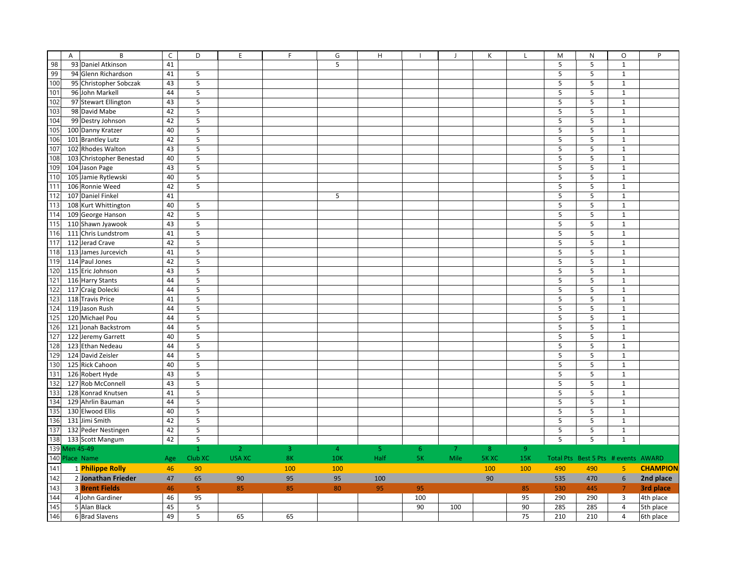|     | $\overline{A}$<br>B      | $\overline{C}$ | D                       | E              | F   | G              | H              |                |                | К     |                | M   | N                                   | O                       | P               |
|-----|--------------------------|----------------|-------------------------|----------------|-----|----------------|----------------|----------------|----------------|-------|----------------|-----|-------------------------------------|-------------------------|-----------------|
| 98  | 93 Daniel Atkinson       | 41             |                         |                |     | 5              |                |                |                |       |                | 5   | 5                                   | $\mathbf 1$             |                 |
| 99  | 94 Glenn Richardson      | 41             | 5                       |                |     |                |                |                |                |       |                | 5   | 5                                   | $\mathbf{1}$            |                 |
| 100 | 95 Christopher Sobczak   | 43             | 5                       |                |     |                |                |                |                |       |                | 5   | 5                                   | $\mathbf 1$             |                 |
| 101 | 96 John Markell          | 44             | 5                       |                |     |                |                |                |                |       |                | 5   | 5                                   | $\mathbf 1$             |                 |
| 102 | 97 Stewart Ellington     | 43             | 5                       |                |     |                |                |                |                |       |                | 5   | 5                                   | $\mathbf 1$             |                 |
| 103 | 98 David Mabe            | 42             | 5                       |                |     |                |                |                |                |       |                | 5   | 5                                   | $\mathbf 1$             |                 |
| 104 | 99 Destry Johnson        | 42             | 5                       |                |     |                |                |                |                |       |                | 5   | 5                                   | $\mathbf 1$             |                 |
| 105 | 100 Danny Kratzer        | 40             | 5                       |                |     |                |                |                |                |       |                | 5   | 5                                   | $\mathbf 1$             |                 |
| 106 | 101 Brantley Lutz        | 42             | 5                       |                |     |                |                |                |                |       |                | 5   | 5                                   | $\mathbf 1$             |                 |
| 107 | 102 Rhodes Walton        | 43             | 5                       |                |     |                |                |                |                |       |                | 5   | 5                                   | $\mathbf 1$             |                 |
| 108 | 103 Christopher Benestad | 40             | 5                       |                |     |                |                |                |                |       |                | 5   | 5                                   | $\mathbf{1}$            |                 |
| 109 | 104 Jason Page           | 43             | 5                       |                |     |                |                |                |                |       |                | 5   | 5                                   | $\mathbf 1$             |                 |
| 110 | 105 Jamie Rytlewski      | 40             | 5                       |                |     |                |                |                |                |       |                | 5   | 5                                   | $\mathbf{1}$            |                 |
| 111 | 106 Ronnie Weed          | 42             | $\overline{\mathbf{5}}$ |                |     |                |                |                |                |       |                | 5   | 5                                   | $\mathbf 1$             |                 |
| 112 | 107 Daniel Finkel        | 41             |                         |                |     | 5              |                |                |                |       |                | 5   | 5                                   | $\mathbf 1$             |                 |
| 113 | 108 Kurt Whittington     | 40             | 5                       |                |     |                |                |                |                |       |                | 5   | 5                                   | $\mathbf 1$             |                 |
| 114 | 109 George Hanson        | 42             | 5                       |                |     |                |                |                |                |       |                | 5   | 5                                   | $\mathbf 1$             |                 |
| 115 | 110 Shawn Jyawook        | 43             | 5                       |                |     |                |                |                |                |       |                | 5   | 5                                   | $\mathbf{1}$            |                 |
| 116 | 111 Chris Lundstrom      | 41             | 5                       |                |     |                |                |                |                |       |                | 5   | 5                                   | $\mathbf{1}$            |                 |
| 117 | 112 Jerad Crave          | 42             | 5                       |                |     |                |                |                |                |       |                | 5   | 5                                   | $\mathbf{1}$            |                 |
| 118 | 113 James Jurcevich      | 41             | 5                       |                |     |                |                |                |                |       |                | 5   | 5                                   | $\mathbf{1}$            |                 |
| 119 | 114 Paul Jones           | 42             | 5                       |                |     |                |                |                |                |       |                | 5   | 5                                   | $\mathbf{1}$            |                 |
| 120 | 115 Eric Johnson         | 43             | 5                       |                |     |                |                |                |                |       |                | 5   | 5                                   | $\mathbf 1$             |                 |
| 121 | 116 Harry Stants         | 44             | 5                       |                |     |                |                |                |                |       |                | 5   | 5                                   | $\mathbf 1$             |                 |
| 122 | 117 Craig Dolecki        | 44             | 5                       |                |     |                |                |                |                |       |                | 5   | 5                                   | $\mathbf 1$             |                 |
| 123 | 118 Travis Price         | 41             | 5                       |                |     |                |                |                |                |       |                | 5   | 5                                   | $\mathbf 1$             |                 |
| 124 | 119 Jason Rush           | 44             | 5                       |                |     |                |                |                |                |       |                | 5   | 5                                   | $\mathbf 1$             |                 |
| 125 | 120 Michael Pou          | 44             | 5                       |                |     |                |                |                |                |       |                | 5   | 5                                   | $\mathbf{1}$            |                 |
| 126 | 121 Jonah Backstrom      | 44             | 5                       |                |     |                |                |                |                |       |                | 5   | 5                                   | $\mathbf{1}$            |                 |
| 127 | 122 Jeremy Garrett       | 40             | 5                       |                |     |                |                |                |                |       |                | 5   | 5                                   | $\mathbf 1$             |                 |
| 128 | 123 Ethan Nedeau         | 44             | 5                       |                |     |                |                |                |                |       |                | 5   | 5                                   | $\mathbf 1$             |                 |
| 129 | 124 David Zeisler        | 44             | 5                       |                |     |                |                |                |                |       |                | 5   | 5                                   | $\mathbf 1$             |                 |
| 130 | 125 Rick Cahoon          | 40             | 5                       |                |     |                |                |                |                |       |                | 5   | 5                                   | $\mathbf 1$             |                 |
| 131 | 126 Robert Hyde          | 43             | 5                       |                |     |                |                |                |                |       |                | 5   | 5                                   | $\mathbf 1$             |                 |
| 132 | 127 Rob McConnell        | 43             | 5                       |                |     |                |                |                |                |       |                | 5   | 5                                   | $\mathbf 1$             |                 |
| 133 | 128 Konrad Knutsen       | 41             | 5                       |                |     |                |                |                |                |       |                | 5   | 5                                   | $\mathbf 1$             |                 |
| 134 | 129 Ahrlin Bauman        | 44             | 5                       |                |     |                |                |                |                |       |                | 5   | 5                                   | $\mathbf{1}$            |                 |
| 135 | 130 Elwood Ellis         | 40             | 5                       |                |     |                |                |                |                |       |                | 5   | 5                                   | $\mathbf 1$             |                 |
| 136 | 131 Jimi Smith           | 42             | 5                       |                |     |                |                |                |                |       |                | 5   | 5                                   | $\mathbf 1$             |                 |
| 137 | 132 Peder Nestingen      | 42             | 5                       |                |     |                |                |                |                |       |                | 5   | 5                                   | $\mathbf 1$             |                 |
| 138 | 133 Scott Mangum         | 42             | 5                       |                |     |                |                |                |                |       |                | 5   | 5                                   | $\mathbf 1$             |                 |
|     | 139 Men 45-49            |                | $\mathbf{1}$            | $\overline{2}$ | 3   | $\overline{4}$ | 5 <sub>1</sub> | 6 <sup>°</sup> | $\overline{7}$ | 8     | 9 <sup>°</sup> |     |                                     |                         |                 |
|     | 140 Place Name           | Age            | Club XC                 | <b>USA XC</b>  | 8K  | <b>10K</b>     | Half           | <b>5K</b>      | Mile           | 5K XC | 15K            |     | Total Pts Best 5 Pts # events AWARD |                         |                 |
| 141 | 1 Philippe Rolly         | 46             | 90                      |                | 100 | 100            |                |                |                | 100   | 100            | 490 | 490                                 | $\overline{5}$          | <b>CHAMPION</b> |
| 142 | 2 Jonathan Frieder       | 47             | 65                      | 90             | 95  | 95             | 100            |                |                | 90    |                | 535 | 470                                 | $\sqrt{6}$              | 2nd place       |
| 143 | <b>3 Brent Fields</b>    | 46             | 5 <sub>1</sub>          | 85             | 85  | 80             | 95             | 95             |                |       | 85             | 530 | 445                                 | $\overline{7}$          | 3rd place       |
| 144 | 4 John Gardiner          | 46             | 95                      |                |     |                |                | 100            |                |       | 95             | 290 | 290                                 | $\overline{\mathbf{3}}$ | 4th place       |
| 145 | 5 Alan Black             | 45             | 5                       |                |     |                |                | 90             | 100            |       | 90             | 285 | 285                                 | $\overline{4}$          | 5th place       |
| 146 | 6 Brad Slavens           | 49             | 5                       | 65             | 65  |                |                |                |                |       | 75             | 210 | 210                                 | $\overline{4}$          |                 |
|     |                          |                |                         |                |     |                |                |                |                |       |                |     |                                     |                         | 6th place       |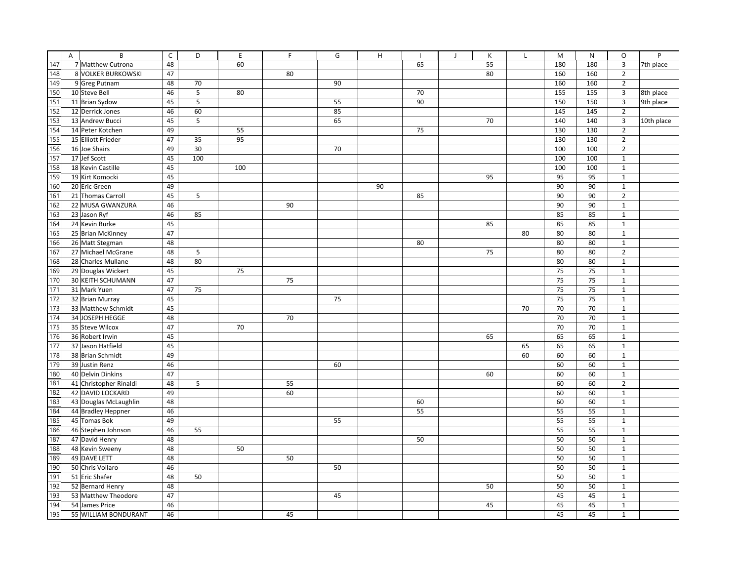|     | A | B                      | $\mathsf{C}$ | D                       | E   | F  | G  | H  |    | $\mathbf{J}$ | K  | L  | M   | $\mathsf{N}$ | $\circ$        | P          |
|-----|---|------------------------|--------------|-------------------------|-----|----|----|----|----|--------------|----|----|-----|--------------|----------------|------------|
| 147 |   | 7 Matthew Cutrona      | 48           |                         | 60  |    |    |    | 65 |              | 55 |    | 180 | 180          | 3              | 7th place  |
| 148 |   | 8 VOLKER BURKOWSKI     | 47           |                         |     | 80 |    |    |    |              | 80 |    | 160 | 160          | $\overline{2}$ |            |
| 149 |   | 9 Greg Putnam          | 48           | 70                      |     |    | 90 |    |    |              |    |    | 160 | 160          | $\overline{2}$ |            |
| 150 |   | 10 Steve Bell          | 46           | 5                       | 80  |    |    |    | 70 |              |    |    | 155 | 155          | 3              | 8th place  |
| 151 |   | 11 Brian Sydow         | 45           | $\overline{\mathbf{5}}$ |     |    | 55 |    | 90 |              |    |    | 150 | 150          | 3              | 9th place  |
| 152 |   | 12 Derrick Jones       | 46           | 60                      |     |    | 85 |    |    |              |    |    | 145 | 145          | $\overline{2}$ |            |
| 153 |   | 13 Andrew Bucci        | 45           | 5                       |     |    | 65 |    |    |              | 70 |    | 140 | 140          | 3              | 10th place |
| 154 |   | 14 Peter Kotchen       | 49           |                         | 55  |    |    |    | 75 |              |    |    | 130 | 130          | $\overline{2}$ |            |
| 155 |   | 15 Elliott Frieder     | 47           | 35                      | 95  |    |    |    |    |              |    |    | 130 | 130          | $\overline{2}$ |            |
| 156 |   | 16 Joe Shairs          | 49           | 30                      |     |    | 70 |    |    |              |    |    | 100 | 100          | $\overline{2}$ |            |
| 157 |   | 17 Jef Scott           | 45           | 100                     |     |    |    |    |    |              |    |    | 100 | 100          | $\mathbf{1}$   |            |
| 158 |   | 18 Kevin Castille      | 45           |                         | 100 |    |    |    |    |              |    |    | 100 | 100          | $\mathbf{1}$   |            |
| 159 |   | 19 Kirt Komocki        | 45           |                         |     |    |    |    |    |              | 95 |    | 95  | 95           | $\mathbf{1}$   |            |
| 160 |   | 20 Eric Green          | 49           |                         |     |    |    | 90 |    |              |    |    | 90  | 90           | $\mathbf{1}$   |            |
| 161 |   | 21 Thomas Carroll      | 45           | 5                       |     |    |    |    | 85 |              |    |    | 90  | 90           | $\overline{2}$ |            |
| 162 |   | 22 MUSA GWANZURA       | 46           |                         |     | 90 |    |    |    |              |    |    | 90  | 90           | $\mathbf 1$    |            |
| 163 |   | 23 Jason Ryf           | 46           | 85                      |     |    |    |    |    |              |    |    | 85  | 85           | $\mathbf{1}$   |            |
| 164 |   | 24 Kevin Burke         | 45           |                         |     |    |    |    |    |              | 85 |    | 85  | 85           | $\mathbf 1$    |            |
| 165 |   | 25 Brian McKinney      | 47           |                         |     |    |    |    |    |              |    | 80 | 80  | 80           | $\mathbf 1$    |            |
| 166 |   | 26 Matt Stegman        | 48           |                         |     |    |    |    | 80 |              |    |    | 80  | 80           | $\mathbf 1$    |            |
| 167 |   | 27 Michael McGrane     | 48           | 5                       |     |    |    |    |    |              | 75 |    | 80  | 80           | $\overline{2}$ |            |
| 168 |   | 28 Charles Mullane     | 48           | 80                      |     |    |    |    |    |              |    |    | 80  | 80           | $\mathbf 1$    |            |
| 169 |   | 29 Douglas Wickert     | 45           |                         | 75  |    |    |    |    |              |    |    | 75  | 75           | $\mathbf 1$    |            |
| 170 |   | 30 KEITH SCHUMANN      | 47           |                         |     | 75 |    |    |    |              |    |    | 75  | 75           | $\mathbf 1$    |            |
| 171 |   | 31 Mark Yuen           | 47           | 75                      |     |    |    |    |    |              |    |    | 75  | 75           | $\mathbf{1}$   |            |
| 172 |   | 32 Brian Murray        | 45           |                         |     |    | 75 |    |    |              |    |    | 75  | 75           | $\mathbf{1}$   |            |
| 173 |   | 33 Matthew Schmidt     | 45           |                         |     |    |    |    |    |              |    | 70 | 70  | 70           | $\mathbf{1}$   |            |
| 174 |   | 34 JOSEPH HEGGE        | 48           |                         |     | 70 |    |    |    |              |    |    | 70  | 70           | $\mathbf{1}$   |            |
| 175 |   | 35 Steve Wilcox        | 47           |                         | 70  |    |    |    |    |              |    |    | 70  | 70           | $\mathbf{1}$   |            |
| 176 |   | 36 Robert Irwin        | 45           |                         |     |    |    |    |    |              | 65 |    | 65  | 65           | $\mathbf{1}$   |            |
| 177 |   | 37 Jason Hatfield      | 45           |                         |     |    |    |    |    |              |    | 65 | 65  | 65           | $\mathbf{1}$   |            |
| 178 |   | 38 Brian Schmidt       | 49           |                         |     |    |    |    |    |              |    | 60 | 60  | 60           | $\mathbf{1}$   |            |
| 179 |   | 39 Justin Renz         | 46           |                         |     |    | 60 |    |    |              |    |    | 60  | 60           | $\mathbf{1}$   |            |
| 180 |   | 40 Delvin Dinkins      | 47           |                         |     |    |    |    |    |              | 60 |    | 60  | 60           | $\mathbf{1}$   |            |
| 181 |   | 41 Christopher Rinaldi | 48           | 5                       |     | 55 |    |    |    |              |    |    | 60  | 60           | $\overline{2}$ |            |
| 182 |   | 42 DAVID LOCKARD       | 49           |                         |     | 60 |    |    |    |              |    |    | 60  | 60           | $\mathbf{1}$   |            |
| 183 |   | 43 Douglas McLaughlin  | 48           |                         |     |    |    |    | 60 |              |    |    | 60  | 60           | $\mathbf{1}$   |            |
| 184 |   | 44 Bradley Heppner     | 46           |                         |     |    |    |    | 55 |              |    |    | 55  | 55           | $\mathbf{1}$   |            |
| 185 |   | 45 Tomas Bok           | 49           |                         |     |    | 55 |    |    |              |    |    | 55  | 55           | $\mathbf{1}$   |            |
| 186 |   | 46 Stephen Johnson     | 46           | 55                      |     |    |    |    |    |              |    |    | 55  | 55           | $\mathbf{1}$   |            |
| 187 |   | 47 David Henry         | 48           |                         |     |    |    |    | 50 |              |    |    | 50  | 50           | $\mathbf{1}$   |            |
| 188 |   | 48 Kevin Sweeny        | 48           |                         | 50  |    |    |    |    |              |    |    | 50  | 50           | $\mathbf{1}$   |            |
| 189 |   | 49 DAVE LETT           | 48           |                         |     | 50 |    |    |    |              |    |    | 50  | 50           | $\mathbf{1}$   |            |
| 190 |   | 50 Chris Vollaro       | 46           |                         |     |    | 50 |    |    |              |    |    | 50  | 50           | $\mathbf{1}$   |            |
| 191 |   | 51 Eric Shafer         | 48           | 50                      |     |    |    |    |    |              |    |    | 50  | 50           | $\mathbf{1}$   |            |
| 192 |   | 52 Bernard Henry       | 48           |                         |     |    |    |    |    |              | 50 |    | 50  | 50           | $\mathbf{1}$   |            |
| 193 |   | 53 Matthew Theodore    | 47           |                         |     |    | 45 |    |    |              |    |    | 45  | 45           | $\mathbf 1$    |            |
| 194 |   | 54 James Price         | 46           |                         |     |    |    |    |    |              | 45 |    | 45  | 45           | $\mathbf 1$    |            |
| 195 |   | 55 WILLIAM BONDURANT   | 46           |                         |     | 45 |    |    |    |              |    |    | 45  | 45           | $\mathbf{1}$   |            |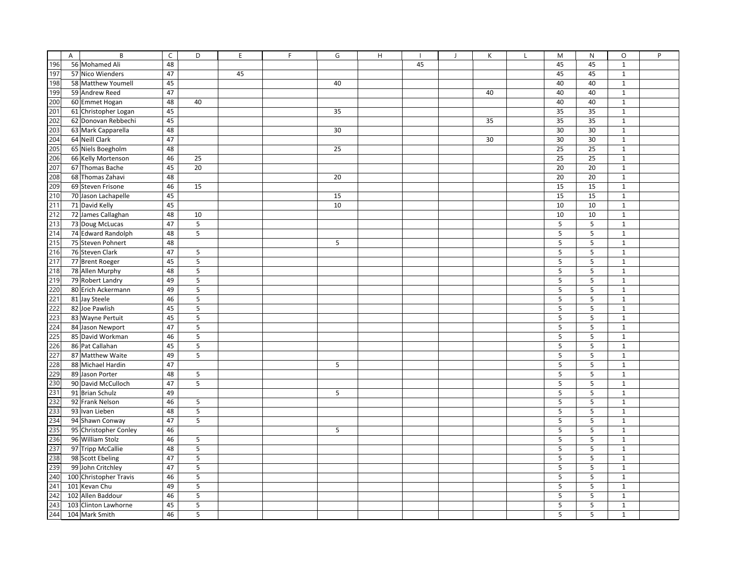|                   | A | B                      | $\mathsf{C}$ | D                       | E  | E | G  | H |    | $\overline{1}$ | K  | $\mathbf{I}$ | M       | N       | O            | P |
|-------------------|---|------------------------|--------------|-------------------------|----|---|----|---|----|----------------|----|--------------|---------|---------|--------------|---|
| 196               |   | 56 Mohamed Ali         | 48           |                         |    |   |    |   | 45 |                |    |              | 45      | 45      | $\mathbf{1}$ |   |
| 197               |   | 57 Nico Wienders       | 47           |                         | 45 |   |    |   |    |                |    |              | 45      | 45      | $\mathbf{1}$ |   |
| 198               |   | 58 Matthew Youmell     | 45           |                         |    |   | 40 |   |    |                |    |              | 40      | 40      | $\mathbf 1$  |   |
| 199               |   | 59 Andrew Reed         | 47           |                         |    |   |    |   |    |                | 40 |              | 40      | 40      | $\mathbf{1}$ |   |
| 200               |   | 60 Emmet Hogan         | 48           | 40                      |    |   |    |   |    |                |    |              | 40      | 40      | $\mathbf{1}$ |   |
| 201               |   | 61 Christopher Logan   | 45           |                         |    |   | 35 |   |    |                |    |              | 35      | 35      | $\mathbf{1}$ |   |
| 202               |   | 62 Donovan Rebbechi    | 45           |                         |    |   |    |   |    |                | 35 |              | 35      | 35      | $\mathbf 1$  |   |
| 203               |   | 63 Mark Capparella     | 48           |                         |    |   | 30 |   |    |                |    |              | 30      | 30      | $\mathbf{1}$ |   |
| 204               |   | 64 Neill Clark         | 47           |                         |    |   |    |   |    |                | 30 |              | 30      | 30      | $\mathbf{1}$ |   |
| 205               |   | 65 Niels Boegholm      | 48           |                         |    |   | 25 |   |    |                |    |              | 25      | 25      | $\mathbf{1}$ |   |
| 206               |   | 66 Kelly Mortenson     | 46           | 25                      |    |   |    |   |    |                |    |              | 25      | 25      | $\mathbf{1}$ |   |
| 207               |   | 67 Thomas Bache        | 45           | 20                      |    |   |    |   |    |                |    |              | 20      | 20      | $\mathbf{1}$ |   |
| 208               |   | 68 Thomas Zahavi       | 48           |                         |    |   | 20 |   |    |                |    |              | 20      | 20      | $\mathbf 1$  |   |
| 209               |   | 69 Steven Frisone      | 46           | 15                      |    |   |    |   |    |                |    |              | 15      | 15      | $\mathbf{1}$ |   |
| 210               |   | 70 Jason Lachapelle    | 45           |                         |    |   | 15 |   |    |                |    |              | 15      | 15      | $\mathbf 1$  |   |
| 211               |   | 71 David Kelly         | 45           |                         |    |   | 10 |   |    |                |    |              | 10      | 10      | $\mathbf 1$  |   |
| 212               |   | 72 James Callaghan     | 48           | 10                      |    |   |    |   |    |                |    |              | 10      | 10      | $\mathbf{1}$ |   |
| 213               |   | 73 Doug McLucas        | 47           | 5                       |    |   |    |   |    |                |    |              | 5       | 5       | $\mathbf{1}$ |   |
| 214               |   | 74 Edward Randolph     | 48           | 5                       |    |   |    |   |    |                |    |              | 5       | 5       | $\mathbf{1}$ |   |
| 215               |   | 75 Steven Pohnert      | 48           |                         |    |   | 5  |   |    |                |    |              | 5       | 5       | $\mathbf{1}$ |   |
|                   |   | 76 Steven Clark        | 47           | 5                       |    |   |    |   |    |                |    |              | 5       | 5       | $\mathbf{1}$ |   |
| $\frac{216}{217}$ |   | 77 Brent Roeger        | 45           | $\mathsf S$             |    |   |    |   |    |                |    |              | 5       | 5       | $\mathbf 1$  |   |
| 218               |   | 78 Allen Murphy        | 48           | $\mathsf S$             |    |   |    |   |    |                |    |              | 5       | 5       | $\mathbf{1}$ |   |
| 219               |   | 79 Robert Landry       | 49           | $\overline{5}$          |    |   |    |   |    |                |    |              | 5       | 5       | $\mathbf{1}$ |   |
| 220               |   | 80 Erich Ackermann     | 49           | $\overline{\mathbf{5}}$ |    |   |    |   |    |                |    |              | 5       | 5       | $\mathbf 1$  |   |
| 221               |   | 81 Jay Steele          | 46           | $\mathsf S$             |    |   |    |   |    |                |    |              | 5       | 5       | $\mathbf{1}$ |   |
| 222               |   | 82 Joe Pawlish         | 45           | $\mathsf S$             |    |   |    |   |    |                |    |              | 5       | $\sf 5$ | $\mathbf{1}$ |   |
| 223               |   | 83 Wayne Pertuit       | 45           | $\mathsf S$             |    |   |    |   |    |                |    |              | 5       | 5       | $\mathbf{1}$ |   |
| 224               |   | 84 Jason Newport       | 47           | 5                       |    |   |    |   |    |                |    |              | 5       | 5       | $\mathbf{1}$ |   |
| 225               |   | 85 David Workman       | 46           | $\mathsf S$             |    |   |    |   |    |                |    |              | 5       | 5       | $\mathbf 1$  |   |
| 226               |   | 86 Pat Callahan        | 45           | $\overline{\mathbf{5}}$ |    |   |    |   |    |                |    |              | 5       | $\sf 5$ | $\mathbf 1$  |   |
| 227               |   | 87 Matthew Waite       | 49           | $\mathsf S$             |    |   |    |   |    |                |    |              | $\sf 5$ | $\sf 5$ | $\mathbf 1$  |   |
| 228               |   | 88 Michael Hardin      | 47           |                         |    |   | 5  |   |    |                |    |              | 5       | 5       | $\mathbf{1}$ |   |
| 229               |   | 89 Jason Porter        | 48           | $5\phantom{.0}$         |    |   |    |   |    |                |    |              | 5       | 5       | $\mathbf 1$  |   |
| 230               |   | 90 David McCulloch     | 47           | 5                       |    |   |    |   |    |                |    |              | 5       | 5       | $\mathbf{1}$ |   |
| 231               |   | 91 Brian Schulz        | 49           |                         |    |   | 5  |   |    |                |    |              | 5       | 5       | $\mathbf{1}$ |   |
| 232               |   | 92 Frank Nelson        | 46           | 5                       |    |   |    |   |    |                |    |              | 5       | 5       | $\mathbf{1}$ |   |
| 233               |   | 93 Ivan Lieben         | 48           | $\overline{\mathbf{5}}$ |    |   |    |   |    |                |    |              | 5       | 5       | $\mathbf{1}$ |   |
| 234               |   | 94 Shawn Conway        | 47           | $5\phantom{.0}$         |    |   |    |   |    |                |    |              | 5       | 5       | $\mathbf{1}$ |   |
| 235               |   | 95 Christopher Conley  | 46           |                         |    |   | 5  |   |    |                |    |              | 5       | 5       | $\mathbf{1}$ |   |
| 236               |   | 96 William Stolz       | 46           | 5                       |    |   |    |   |    |                |    |              | 5       | 5       | $\mathbf{1}$ |   |
| 237               |   | 97 Tripp McCallie      | 48           | 5                       |    |   |    |   |    |                |    |              | 5       | 5       | $\mathbf{1}$ |   |
| 238               |   | 98 Scott Ebeling       | 47           | 5                       |    |   |    |   |    |                |    |              | 5       | 5       | $\mathbf{1}$ |   |
| 239               |   | 99 John Critchley      | 47           | 5                       |    |   |    |   |    |                |    |              | 5       | 5       | $\mathbf{1}$ |   |
| 240               |   | 100 Christopher Travis | 46           | 5                       |    |   |    |   |    |                |    |              | 5       | 5       | $\mathbf{1}$ |   |
| 241               |   | 101 Kevan Chu          | 49           | 5                       |    |   |    |   |    |                |    |              | 5       | 5       | $\mathbf{1}$ |   |
| 242               |   | 102 Allen Baddour      | 46           | $\mathsf S$             |    |   |    |   |    |                |    |              | 5       | 5       | $\mathbf{1}$ |   |
| 243               |   | 103 Clinton Lawhorne   | 45           | 5                       |    |   |    |   |    |                |    |              | 5       | 5       | $\mathbf{1}$ |   |
| 244               |   | 104 Mark Smith         | 46           | 5                       |    |   |    |   |    |                |    |              | 5       | 5       | $\mathbf{1}$ |   |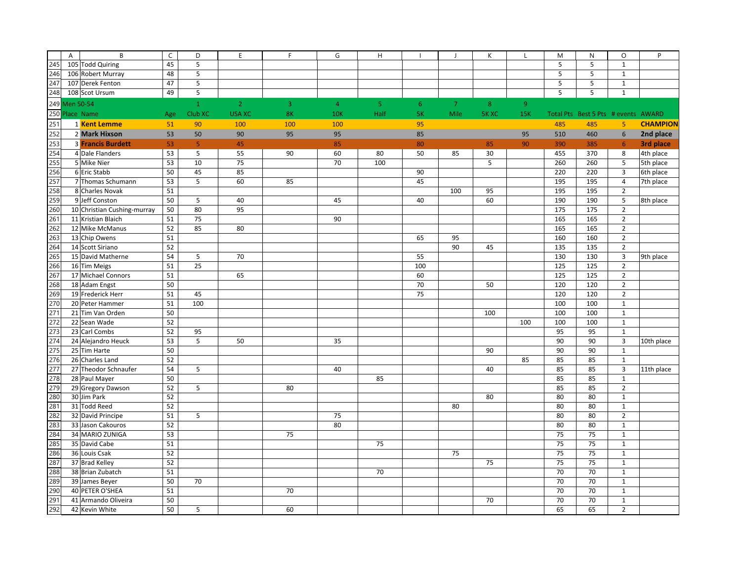|     | A              | B                           | $\mathsf C$ | D              | E              | F   | G              | H              |                | $\overline{1}$ | К       | L              | M   | $\mathsf{N}$                        | $\circ$        | P               |
|-----|----------------|-----------------------------|-------------|----------------|----------------|-----|----------------|----------------|----------------|----------------|---------|----------------|-----|-------------------------------------|----------------|-----------------|
| 245 |                | 105 Todd Quiring            | 45          | 5              |                |     |                |                |                |                |         |                | 5   | 5                                   | $\mathbf 1$    |                 |
| 246 |                | 106 Robert Murray           | 48          | 5              |                |     |                |                |                |                |         |                | 5   | 5                                   | $\mathbf{1}$   |                 |
| 247 |                | 107 Derek Fenton            | 47          | 5              |                |     |                |                |                |                |         |                | 5   | 5                                   | $\mathbf 1$    |                 |
| 248 |                | 108 Scot Ursum              | 49          | 5              |                |     |                |                |                |                |         |                | 5   | 5                                   | $\mathbf{1}$   |                 |
|     | 249 Men 50-54  |                             |             | $\mathbf{1}$   | $\overline{2}$ | 3   | $\overline{4}$ | 5 <sub>o</sub> | 6 <sup>°</sup> | $\overline{7}$ | $\bf 8$ | 9 <sup>°</sup> |     |                                     |                |                 |
|     | 250 Place Name |                             | Age         | Club XC        | <b>USA XC</b>  | 8K  | <b>10K</b>     | Half           | <b>5K</b>      | Mile           | 5K XC   | 15K            |     | Total Pts Best 5 Pts # events AWARD |                |                 |
| 251 |                | 1 Kent Lemme                | 51          | 90             | 100            | 100 | 100            |                | 95             |                |         |                | 485 | 485                                 | 5              | <b>CHAMPION</b> |
| 252 |                | 2 Mark Hixson               | 53          | 50             | 90             | 95  | 95             |                | 85             |                |         | 95             | 510 | 460                                 | $6\phantom{1}$ | 2nd place       |
| 253 |                | 3 Francis Burdett           | 53          | 5 <sub>1</sub> | 45             |     | 85             |                | 80             |                | 85      | 90             | 390 | 385                                 | $6\phantom{1}$ | 3rd place       |
| 254 |                | 4 Dale Flanders             | 53          | 5              | 55             | 90  | 60             | 80             | 50             | 85             | 30      |                | 455 | 370                                 | 8              | 4th place       |
| 255 |                | 5 Mike Nier                 | 53          | 10             | 75             |     | 70             | 100            |                |                | 5       |                | 260 | 260                                 | 5              | 5th place       |
| 256 |                | 6 Eric Stabb                | 50          | 45             | 85             |     |                |                | 90             |                |         |                | 220 | 220                                 | 3              | 6th place       |
| 257 |                | 7 Thomas Schumann           | 53          | 5              | 60             | 85  |                |                | 45             |                |         |                | 195 | 195                                 | $\overline{4}$ | 7th place       |
| 258 |                | 8 Charles Novak             | 51          |                |                |     |                |                |                | 100            | 95      |                | 195 | 195                                 | $\overline{2}$ |                 |
| 259 |                | 9 Jeff Conston              | 50          | 5              | 40             |     | 45             |                | 40             |                | 60      |                | 190 | 190                                 | 5              | 8th place       |
| 260 |                | 10 Christian Cushing-murray | 50          | 80             | 95             |     |                |                |                |                |         |                | 175 | 175                                 | $\overline{2}$ |                 |
| 261 |                | 11 Kristian Blaich          | 51          | 75             |                |     | 90             |                |                |                |         |                | 165 | 165                                 | $\overline{2}$ |                 |
| 262 |                | 12 Mike McManus             | 52          | 85             | 80             |     |                |                |                |                |         |                | 165 | 165                                 | $\overline{2}$ |                 |
| 263 |                | 13 Chip Owens               | 51          |                |                |     |                |                | 65             | 95             |         |                | 160 | 160                                 | $\overline{2}$ |                 |
| 264 |                | 14 Scott Siriano            | 52          |                |                |     |                |                |                | 90             | 45      |                | 135 | 135                                 | $\overline{2}$ |                 |
| 265 |                | 15 David Matherne           | 54          | 5              | 70             |     |                |                | 55             |                |         |                | 130 | 130                                 | 3              | 9th place       |
| 266 |                | 16 Tim Meigs                | 51          | 25             |                |     |                |                | 100            |                |         |                | 125 | 125                                 | $\overline{2}$ |                 |
| 267 |                | 17 Michael Connors          | 51          |                | 65             |     |                |                | 60             |                |         |                | 125 | 125                                 | $\overline{2}$ |                 |
| 268 |                | 18 Adam Engst               | 50          |                |                |     |                |                | 70             |                | 50      |                | 120 | 120                                 | $\overline{2}$ |                 |
| 269 |                | 19 Frederick Herr           | 51          | 45             |                |     |                |                | 75             |                |         |                | 120 | 120                                 | $\overline{2}$ |                 |
| 270 |                | 20 Peter Hammer             | 51          | 100            |                |     |                |                |                |                |         |                | 100 | 100                                 | $\mathbf 1$    |                 |
| 271 |                | 21 Tim Van Orden            | 50          |                |                |     |                |                |                |                | 100     |                | 100 | 100                                 | $\mathbf 1$    |                 |
| 272 |                | 22 Sean Wade                | 52          |                |                |     |                |                |                |                |         | 100            | 100 | 100                                 | $\mathbf{1}$   |                 |
| 273 |                | 23 Carl Combs               | 52          | 95             |                |     |                |                |                |                |         |                | 95  | 95                                  | $\mathbf 1$    |                 |
| 274 |                | 24 Alejandro Heuck          | 53          | 5              | 50             |     | 35             |                |                |                |         |                | 90  | 90                                  | 3              | 10th place      |
| 275 |                | 25 Tim Harte                | 50          |                |                |     |                |                |                |                | 90      |                | 90  | 90                                  | $\mathbf 1$    |                 |
| 276 |                | 26 Charles Land             | 52          |                |                |     |                |                |                |                |         | 85             | 85  | 85                                  | $\mathbf 1$    |                 |
| 277 |                | 27 Theodor Schnaufer        | 54          | 5              |                |     | 40             |                |                |                | 40      |                | 85  | 85                                  | 3              | 11th place      |
| 278 |                | 28 Paul Mayer               | 50          |                |                |     |                | 85             |                |                |         |                | 85  | 85                                  | $\mathbf 1$    |                 |
| 279 |                | 29 Gregory Dawson           | 52          | 5              |                | 80  |                |                |                |                |         |                | 85  | 85                                  | $\overline{2}$ |                 |
| 280 |                | 30 Jim Park                 | 52          |                |                |     |                |                |                |                | 80      |                | 80  | 80                                  | $\mathbf 1$    |                 |
| 281 |                | 31 Todd Reed                | 52          |                |                |     |                |                |                | 80             |         |                | 80  | 80                                  | $\mathbf 1$    |                 |
| 282 |                | 32 David Principe           | 51          | 5              |                |     | 75             |                |                |                |         |                | 80  | 80                                  | $\overline{2}$ |                 |
| 283 |                | 33 Jason Cakouros           | 52          |                |                |     | 80             |                |                |                |         |                | 80  | 80                                  | $\mathbf 1$    |                 |
| 284 |                | 34 MARIO ZUNIGA             | 53          |                |                | 75  |                |                |                |                |         |                | 75  | 75                                  | $\mathbf 1$    |                 |
| 285 |                | 35 David Cabe               | 51          |                |                |     |                | 75             |                |                |         |                | 75  | 75                                  | $\mathbf 1$    |                 |
| 286 |                | 36 Louis Csak               | 52          |                |                |     |                |                |                | 75             |         |                | 75  | 75                                  | $\mathbf 1$    |                 |
| 287 |                | 37 Brad Kelley              | 52          |                |                |     |                |                |                |                | 75      |                | 75  | 75                                  | $\mathbf 1$    |                 |
| 288 |                | 38 Brian Zubatch            | 51          |                |                |     |                | 70             |                |                |         |                | 70  | 70                                  | $\mathbf{1}$   |                 |
| 289 |                | 39 James Beyer              | 50          | 70             |                |     |                |                |                |                |         |                | 70  | 70                                  | $\mathbf 1$    |                 |
| 290 |                | 40 PETER O'SHEA             | 51          |                |                | 70  |                |                |                |                |         |                | 70  | 70                                  | $\mathbf 1$    |                 |
| 291 |                | 41 Armando Oliveira         | 50          |                |                |     |                |                |                |                | 70      |                | 70  | 70                                  | $\mathbf 1$    |                 |
| 292 |                | 42 Kevin White              | 50          | 5              |                | 60  |                |                |                |                |         |                | 65  | 65                                  | $\overline{2}$ |                 |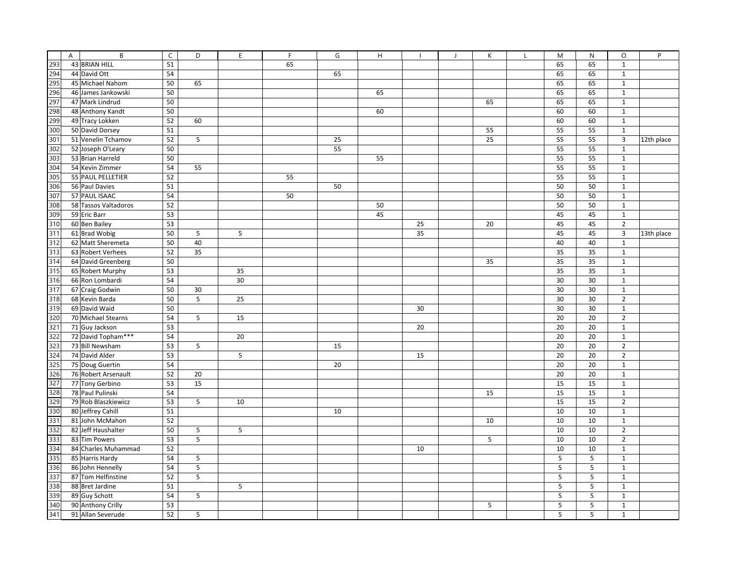|     | A | B                    | $\mathsf C$     | D               | E  | F  | G  | H  |    | $\overline{1}$ | К  | $\mathbf{I}$ | M  | N  | O              | P          |
|-----|---|----------------------|-----------------|-----------------|----|----|----|----|----|----------------|----|--------------|----|----|----------------|------------|
| 293 |   | 43 BRIAN HILL        | 51              |                 |    | 65 |    |    |    |                |    |              | 65 | 65 | $\mathbf{1}$   |            |
| 294 |   | 44 David Ott         | 54              |                 |    |    | 65 |    |    |                |    |              | 65 | 65 | $\mathbf{1}$   |            |
| 295 |   | 45 Michael Nahom     | 50              | 65              |    |    |    |    |    |                |    |              | 65 | 65 | $\mathbf 1$    |            |
| 296 |   | 46 James Jankowski   | 50              |                 |    |    |    | 65 |    |                |    |              | 65 | 65 | $\mathbf{1}$   |            |
| 297 |   | 47 Mark Lindrud      | 50              |                 |    |    |    |    |    |                | 65 |              | 65 | 65 | $\mathbf{1}$   |            |
| 298 |   | 48 Anthony Kandt     | 50              |                 |    |    |    | 60 |    |                |    |              | 60 | 60 | $\mathbf{1}$   |            |
| 299 |   | 49 Tracy Lokken      | 52              | 60              |    |    |    |    |    |                |    |              | 60 | 60 | $\mathbf{1}$   |            |
| 300 |   | 50 David Dorsey      | $\overline{51}$ |                 |    |    |    |    |    |                | 55 |              | 55 | 55 | $\mathbf{1}$   |            |
| 301 |   | 51 Venelin Tchamov   | 52              | $\mathsf S$     |    |    | 25 |    |    |                | 25 |              | 55 | 55 | $\overline{3}$ | 12th place |
| 302 |   | 52 Joseph O'Leary    | 50              |                 |    |    | 55 |    |    |                |    |              | 55 | 55 | $\mathbf{1}$   |            |
| 303 |   | 53 Brian Harreld     | 50              |                 |    |    |    | 55 |    |                |    |              | 55 | 55 | $\mathbf{1}$   |            |
| 304 |   | 54 Kevin Zimmer      | 54              | 55              |    |    |    |    |    |                |    |              | 55 | 55 | $\mathbf{1}$   |            |
| 305 |   | 55 PAUL PELLETIER    | 52              |                 |    | 55 |    |    |    |                |    |              | 55 | 55 | $\mathbf 1$    |            |
| 306 |   | 56 Paul Davies       | 51              |                 |    |    | 50 |    |    |                |    |              | 50 | 50 | $\mathbf{1}$   |            |
| 307 |   | 57 PAUL ISAAC        | 54              |                 |    | 50 |    |    |    |                |    |              | 50 | 50 | $\mathbf{1}$   |            |
| 308 |   | 58 Tassos Valtadoros | 52              |                 |    |    |    | 50 |    |                |    |              | 50 | 50 | $\mathbf 1$    |            |
| 309 |   | 59 Eric Barr         | 53              |                 |    |    |    | 45 |    |                |    |              | 45 | 45 | $\mathbf{1}$   |            |
| 310 |   | 60 Ben Bailey        | 53              |                 |    |    |    |    | 25 |                | 20 |              | 45 | 45 | $\overline{2}$ |            |
| 311 |   | 61 Brad Wobig        | 50              | 5               | 5  |    |    |    | 35 |                |    |              | 45 | 45 | $\overline{3}$ | 13th place |
| 312 |   | 62 Matt Sheremeta    | 50              | 40              |    |    |    |    |    |                |    |              | 40 | 40 | $\mathbf{1}$   |            |
| 313 |   | 63 Robert Verhees    | 52              | 35              |    |    |    |    |    |                |    |              | 35 | 35 | $\mathbf{1}$   |            |
| 314 |   | 64 David Greenberg   | 50              |                 |    |    |    |    |    |                | 35 |              | 35 | 35 | $\mathbf{1}$   |            |
| 315 |   | 65 Robert Murphy     | 53              |                 | 35 |    |    |    |    |                |    |              | 35 | 35 | $\mathbf{1}$   |            |
| 316 |   | 66 Ron Lombardi      | 54              |                 | 30 |    |    |    |    |                |    |              | 30 | 30 | $\mathbf 1$    |            |
| 317 |   | 67 Craig Godwin      | 50              | 30              |    |    |    |    |    |                |    |              | 30 | 30 | $\mathbf 1$    |            |
| 318 |   | 68 Kevin Barda       | 50              | $\overline{5}$  | 25 |    |    |    |    |                |    |              | 30 | 30 | $\overline{2}$ |            |
| 319 |   | 69 David Waid        | 50              |                 |    |    |    |    | 30 |                |    |              | 30 | 30 | $\mathbf{1}$   |            |
| 320 |   | 70 Michael Stearns   | 54              | 5               | 15 |    |    |    |    |                |    |              | 20 | 20 | $\overline{2}$ |            |
| 321 |   | 71 Guy Jackson       | 53              |                 |    |    |    |    | 20 |                |    |              | 20 | 20 | $\mathbf 1$    |            |
| 322 |   | 72 David Topham***   | 54              |                 | 20 |    |    |    |    |                |    |              | 20 | 20 | $\mathbf 1$    |            |
| 323 |   | 73 Bill Newsham      | 53              | $5\phantom{.0}$ |    |    | 15 |    |    |                |    |              | 20 | 20 | $\overline{2}$ |            |
| 324 |   | 74 David Alder       | 53              |                 | 5  |    |    |    | 15 |                |    |              | 20 | 20 | $\overline{2}$ |            |
| 325 |   | 75 Doug Guertin      | 54              |                 |    |    | 20 |    |    |                |    |              | 20 | 20 | $\mathbf{1}$   |            |
| 326 |   | 76 Robert Arsenault  | 52              | 20              |    |    |    |    |    |                |    |              | 20 | 20 | $\mathbf 1$    |            |
| 327 |   | 77 Tony Gerbino      | 53              | 15              |    |    |    |    |    |                |    |              | 15 | 15 | $\mathbf{1}$   |            |
| 328 |   | 78 Paul Pulinski     | 54              |                 |    |    |    |    |    |                | 15 |              | 15 | 15 | $\mathbf 1$    |            |
| 329 |   | 79 Rob Blaszkiewicz  | 53              | 5               | 10 |    |    |    |    |                |    |              | 15 | 15 | $\overline{2}$ |            |
| 330 |   | 80 Jeffrey Cahill    | 51              |                 |    |    | 10 |    |    |                |    |              | 10 | 10 | $\mathbf{1}$   |            |
| 331 |   | 81 John McMahon      | 52              |                 |    |    |    |    |    |                | 10 |              | 10 | 10 | $\mathbf{1}$   |            |
| 332 |   | 82 Jeff Haushalter   | 50              | 5               | 5  |    |    |    |    |                |    |              | 10 | 10 | $\overline{2}$ |            |
| 333 |   | 83 Tim Powers        | 53              | $5\phantom{.0}$ |    |    |    |    |    |                | 5  |              | 10 | 10 | $\overline{2}$ |            |
| 334 |   | 84 Charles Muhammad  | 52              |                 |    |    |    |    | 10 |                |    |              | 10 | 10 | $\mathbf{1}$   |            |
| 335 |   | 85 Harris Hardy      | 54              | 5               |    |    |    |    |    |                |    |              | 5  | 5  | $\mathbf{1}$   |            |
| 336 |   | 86 John Hennelly     | 54              | 5               |    |    |    |    |    |                |    |              | 5  | 5  | $\mathbf{1}$   |            |
| 337 |   | 87 Tom Helfinstine   | 52              | 5               |    |    |    |    |    |                |    |              | 5  | 5  | $\mathbf{1}$   |            |
| 338 |   | 88 Bret Jardine      | 51              |                 | 5  |    |    |    |    |                |    |              | 5  | 5  | $\mathbf{1}$   |            |
| 339 |   | 89 Guy Schott        | 54              | 5               |    |    |    |    |    |                |    |              | 5  | 5  | $\mathbf{1}$   |            |
| 340 |   | 90 Anthony Crilly    | 53              |                 |    |    |    |    |    |                | 5  |              | 5  | 5  | $\mathbf 1$    |            |
| 341 |   | 91 Allan Severude    | 52              | 5               |    |    |    |    |    |                |    |              | 5  | 5  | $\mathbf{1}$   |            |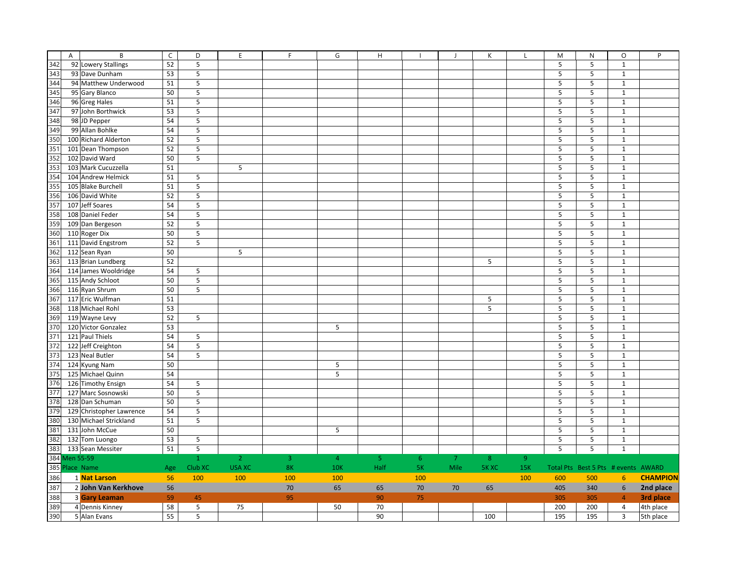|                                                                           | $\overline{B}$<br>$\overline{A}$ | $\overline{C}$ | D              | E              | F   | G              | $\boldsymbol{\mathsf{H}}$ |                | $\overline{\phantom{a}}$ | К            |                | M          | N                                   | $\circ$                          | P               |
|---------------------------------------------------------------------------|----------------------------------|----------------|----------------|----------------|-----|----------------|---------------------------|----------------|--------------------------|--------------|----------------|------------|-------------------------------------|----------------------------------|-----------------|
| 342                                                                       | 92 Lowery Stallings              | 52             | 5              |                |     |                |                           |                |                          |              |                | 5          | 5                                   | $\mathbf 1$                      |                 |
| 343                                                                       | 93 Dave Dunham                   | 53             | 5              |                |     |                |                           |                |                          |              |                | 5          | 5                                   | $\mathbf{1}$                     |                 |
| 344                                                                       | 94 Matthew Underwood             | 51             | 5              |                |     |                |                           |                |                          |              |                | 5          | 5                                   | $\mathbf 1$                      |                 |
| $\frac{345}{345}$ $\frac{346}{347}$ $\frac{347}{348}$                     | 95 Gary Blanco                   | 50             | 5              |                |     |                |                           |                |                          |              |                | 5          | 5                                   | $\mathbf{1}$                     |                 |
|                                                                           | 96 Greg Hales                    | 51             | 5              |                |     |                |                           |                |                          |              |                | 5          | 5                                   | $\mathbf 1$                      |                 |
|                                                                           | 97 John Borthwick                | 53             | 5              |                |     |                |                           |                |                          |              |                | 5          | 5                                   | $\mathbf 1$                      |                 |
|                                                                           | 98 JD Pepper                     | 54             | 5              |                |     |                |                           |                |                          |              |                | 5          | 5                                   | $\mathbf 1$                      |                 |
|                                                                           | 99 Allan Bohlke                  | 54             | 5              |                |     |                |                           |                |                          |              |                | 5          | 5                                   | $\mathbf{1}$                     |                 |
| $\frac{349}{350}$                                                         | 100 Richard Alderton             | 52             | 5              |                |     |                |                           |                |                          |              |                | 5          | 5                                   | $\mathbf{1}$                     |                 |
|                                                                           | 101 Dean Thompson                | 52             | 5              |                |     |                |                           |                |                          |              |                | 5          | 5                                   | $\mathbf{1}$                     |                 |
|                                                                           | 102 David Ward                   | 50             | 5              |                |     |                |                           |                |                          |              |                | 5          | 5                                   | $\mathbf{1}$                     |                 |
|                                                                           | 103 Mark Cucuzzella              | 51             |                | 5              |     |                |                           |                |                          |              |                | 5          | 5                                   | $\mathbf{1}$                     |                 |
|                                                                           | 104 Andrew Helmick               | 51             | 5              |                |     |                |                           |                |                          |              |                | 5          | 5                                   | $\mathbf{1}$                     |                 |
|                                                                           | 105 Blake Burchell               | 51             | 5              |                |     |                |                           |                |                          |              |                | 5          | 5                                   | $\mathbf{1}$                     |                 |
|                                                                           | 106 David White                  | 52             | 5              |                |     |                |                           |                |                          |              |                | 5          | $\sf 5$                             | $\mathbf{1}$                     |                 |
|                                                                           | 107 Jeff Soares                  | 54             | $\overline{5}$ |                |     |                |                           |                |                          |              |                | 5          | 5                                   | $\mathbf{1}$                     |                 |
|                                                                           | 108 Daniel Feder                 | 54             | $\sf 5$        |                |     |                |                           |                |                          |              |                | 5          | 5                                   | $\mathbf{1}$                     |                 |
|                                                                           | 109 Dan Bergeson                 | 52             | 5              |                |     |                |                           |                |                          |              |                | 5          | 5                                   | $\mathbf 1$                      |                 |
|                                                                           | 110 Roger Dix                    | 50             | 5              |                |     |                |                           |                |                          |              |                | 5          | $\sf 5$                             | $\mathbf 1$                      |                 |
|                                                                           | 111 David Engstrom               | 52             | 5              |                |     |                |                           |                |                          |              |                | 5          | 5                                   | $\mathbf 1$                      |                 |
| 352<br>353<br>354<br>355<br>356<br>357<br>358<br>359<br>360<br>362<br>363 | 112 Sean Ryan                    | 50             |                | 5              |     |                |                           |                |                          |              |                | 5          | 5                                   | $\mathbf{1}$                     |                 |
|                                                                           | 113 Brian Lundberg               | 52             |                |                |     |                |                           |                |                          | 5            |                | 5          | 5                                   | $\mathbf 1$                      |                 |
| 364                                                                       | 114 James Wooldridge             | 54             | 5              |                |     |                |                           |                |                          |              |                | 5          | 5                                   | $\mathbf{1}$                     |                 |
| 365                                                                       | 115 Andy Schloot                 | 50             | 5              |                |     |                |                           |                |                          |              |                | 5          | 5                                   | $\mathbf 1$                      |                 |
| 366                                                                       | 116 Ryan Shrum                   | 50             | 5              |                |     |                |                           |                |                          |              |                | 5          | 5                                   | $\mathbf{1}$                     |                 |
| 367                                                                       | 117 Eric Wulfman                 | 51             |                |                |     |                |                           |                |                          | 5            |                | 5          | 5                                   | $\mathbf{1}$                     |                 |
| 368                                                                       | 118 Michael Rohl                 | 53             |                |                |     |                |                           |                |                          | 5            |                | 5          | 5                                   | $\mathbf{1}$                     |                 |
| 369                                                                       | 119 Wayne Levy                   | 52             | 5              |                |     |                |                           |                |                          |              |                | 5          | 5                                   | $\mathbf{1}$                     |                 |
| 370                                                                       | 120 Victor Gonzalez              | 53             |                |                |     | 5              |                           |                |                          |              |                | 5          | 5                                   | $\mathbf{1}$                     |                 |
| 371                                                                       | 121 Paul Thiels                  | 54             | 5              |                |     |                |                           |                |                          |              |                | 5          | 5                                   | $\mathbf{1}$                     |                 |
| 372                                                                       | 122 Jeff Creighton               | 54             | 5              |                |     |                |                           |                |                          |              |                | 5          | 5                                   | $\mathbf{1}$                     |                 |
| 373                                                                       | 123 Neal Butler                  | 54             | 5              |                |     |                |                           |                |                          |              |                | 5          | 5                                   | $\mathbf{1}$                     |                 |
| 374                                                                       | 124 Kyung Nam                    | 50             |                |                |     | 5              |                           |                |                          |              |                | 5          | 5                                   | $\mathbf{1}$                     |                 |
| 375                                                                       | 125 Michael Quinn                | 54             |                |                |     | 5              |                           |                |                          |              |                | 5          | 5                                   | $\mathbf{1}$                     |                 |
| 376                                                                       | 126 Timothy Ensign               | 54             | 5              |                |     |                |                           |                |                          |              |                | 5          | 5                                   | $\mathbf{1}$                     |                 |
| 377                                                                       | 127 Marc Sosnowski               | 50             | 5              |                |     |                |                           |                |                          |              |                | 5          | 5                                   | $\mathbf 1$                      |                 |
| 378                                                                       | 128 Dan Schuman                  | 50             | 5              |                |     |                |                           |                |                          |              |                | 5          | 5                                   | $\mathbf{1}$                     |                 |
| 379                                                                       | 129 Christopher Lawrence         | 54             | 5              |                |     |                |                           |                |                          |              |                | 5          | 5                                   | $\mathbf{1}$                     |                 |
| 380                                                                       | 130 Michael Strickland           | 51             | 5              |                |     |                |                           |                |                          |              |                | 5          | 5                                   | $\mathbf{1}$                     |                 |
| 381                                                                       | 131 John McCue                   | 50             |                |                |     | 5              |                           |                |                          |              |                | 5          | 5                                   | $\mathbf 1$                      |                 |
|                                                                           | 132 Tom Luongo                   | 53             | 5              |                |     |                |                           |                |                          |              |                | 5          | 5                                   | $\mathbf{1}$                     |                 |
|                                                                           | 133 Sean Messiter                | 51             | 5              |                |     |                |                           |                |                          |              |                | 5          | 5                                   | $\mathbf{1}$                     |                 |
| $\begin{array}{r} 1.382 \\ 382 \\ 383 \\ 384 \\ 385 \end{array}$          | <b>Men 55-59</b>                 |                | $\mathbf{1}$   | $\overline{2}$ | 3   | $\overline{4}$ | 5 <sub>o</sub>            | 6 <sup>°</sup> | $\overline{7}$           | 8            | 9 <sup>°</sup> |            |                                     |                                  |                 |
|                                                                           | Place Name                       | Age            | Club XC        | <b>USA XC</b>  | 8K  | <b>10K</b>     | Half                      | 5K             | Mile                     | <b>5K XC</b> | 15K            |            | Total Pts Best 5 Pts # events AWARD |                                  |                 |
| 386                                                                       | 1 Nat Larson                     | 56             | 100            | 100            | 100 | 100            |                           | 100            |                          |              | 100            | 600        | 500                                 | 6 <sup>1</sup>                   | <b>CHAMPION</b> |
| 387                                                                       | 2 John Van Kerkhove              | 56             |                |                | 70  | 65             | 65                        | 70             | 70                       | 65           |                | 405        | 340                                 | $\boldsymbol{6}$                 | 2nd place       |
|                                                                           |                                  |                |                |                |     |                |                           |                |                          |              |                |            |                                     |                                  | 3rd place       |
| 388<br>389<br>390                                                         | <b>3 Gary Leaman</b>             | 59<br>58       | 45             |                | 95  |                | 90<br>70                  | 75             |                          |              |                | 305<br>200 | 305                                 | $\overline{4}$<br>$\overline{4}$ |                 |
|                                                                           | 4 Dennis Kinney                  | 55             | 5<br>5         | 75             |     | 50             |                           |                |                          |              |                |            | 200                                 |                                  | 4th place       |
|                                                                           | 5 Alan Evans                     |                |                |                |     |                | 90                        |                |                          | 100          |                | 195        | 195                                 | $\overline{3}$                   | 5th place       |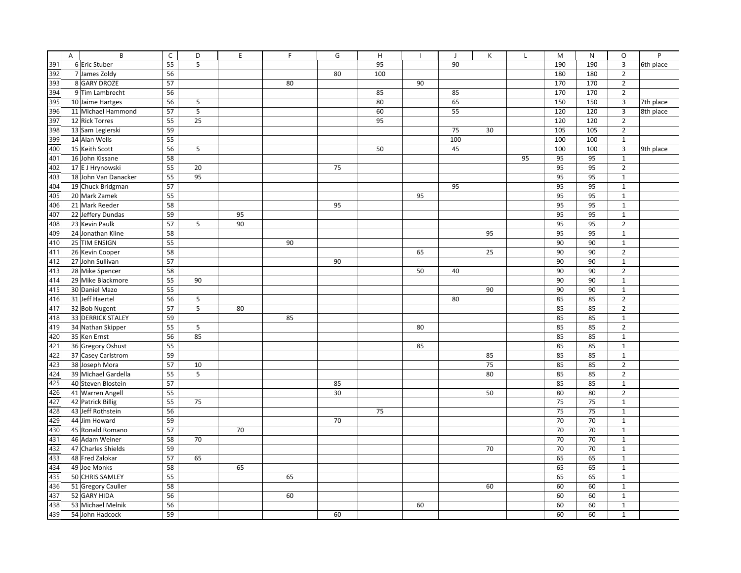|     | A<br>В                   | $\mathsf C$ | D  | E  | E  | G  | H   | $\mathbf{I}$ | $\mathbf{J}$ | К  | $\mathsf{L}$ | M   | N      | $\circ$                 | P         |
|-----|--------------------------|-------------|----|----|----|----|-----|--------------|--------------|----|--------------|-----|--------|-------------------------|-----------|
| 391 | 6 Eric Stuber            | 55          | 5  |    |    |    | 95  |              | 90           |    |              | 190 | 190    | 3                       | 6th place |
| 392 | 7 James Zoldy            | 56          |    |    |    | 80 | 100 |              |              |    |              | 180 | 180    | $\overline{2}$          |           |
| 393 | 8 GARY DROZE             | 57          |    |    | 80 |    |     | 90           |              |    |              | 170 | 170    | $\overline{2}$          |           |
| 394 | 9 Tim Lambrecht          | 56          |    |    |    |    | 85  |              | 85           |    |              | 170 | 170    | $\overline{2}$          |           |
| 395 | 10 Jaime Hartges         | 56          | 5  |    |    |    | 80  |              | 65           |    |              | 150 | 150    | 3                       | 7th place |
| 396 | 11 Michael Hammond       | 57          | 5  |    |    |    | 60  |              | 55           |    |              | 120 | 120    | $\overline{\mathbf{3}}$ | 8th place |
| 397 | 12 Rick Torres           | 55          | 25 |    |    |    | 95  |              |              |    |              | 120 | 120    | $\overline{2}$          |           |
| 398 | 13 Sam Legierski         | 59          |    |    |    |    |     |              | 75           | 30 |              | 105 | 105    | $\overline{2}$          |           |
| 399 | 14 Alan Wells            | 55          |    |    |    |    |     |              | 100          |    |              | 100 | 100    | $\mathbf{1}$            |           |
| 400 | 15 Keith Scott           | 56          | 5  |    |    |    | 50  |              | 45           |    |              | 100 | 100    | 3                       | 9th place |
| 401 | 16 John Kissane          | 58          |    |    |    |    |     |              |              |    | 95           | 95  | 95     | $\mathbf{1}$            |           |
| 402 | 17 E J Hrynowski         | 55          | 20 |    |    | 75 |     |              |              |    |              | 95  | 95     | $\overline{2}$          |           |
| 403 | 18 John Van Danacker     | 55          | 95 |    |    |    |     |              |              |    |              | 95  | 95     | $\mathbf{1}$            |           |
| 404 | 19 Chuck Bridgman        | 57          |    |    |    |    |     |              | 95           |    |              | 95  | 95     | $\mathbf{1}$            |           |
| 405 | 20 Mark Zamek            | 55          |    |    |    |    |     | 95           |              |    |              | 95  | 95     | $\mathbf{1}$            |           |
| 406 | 21 Mark Reeder           | 58          |    |    |    | 95 |     |              |              |    |              | 95  | 95     | $\mathbf{1}$            |           |
| 407 | 22 Jeffery Dundas        | 59          |    | 95 |    |    |     |              |              |    |              | 95  | 95     | $\mathbf{1}$            |           |
| 408 | 23 Kevin Paulk           | 57          | 5  | 90 |    |    |     |              |              |    |              | 95  | 95     | $\overline{2}$          |           |
| 409 | 24 Jonathan Kline        | 58          |    |    |    |    |     |              |              | 95 |              | 95  | 95     | $\mathbf{1}$            |           |
| 410 | 25 TIM ENSIGN            | 55          |    |    | 90 |    |     |              |              |    |              | 90  | 90     | $\mathbf{1}$            |           |
| 411 | 26 Kevin Cooper          | 58          |    |    |    |    |     | 65           |              | 25 |              | 90  | 90     | $\overline{2}$          |           |
| 412 | 27 John Sullivan         | 57          |    |    |    | 90 |     |              |              |    |              | 90  | 90     | $\mathbf{1}$            |           |
| 413 | 28 Mike Spencer          | 58          |    |    |    |    |     | 50           | 40           |    |              | 90  | 90     | $\overline{2}$          |           |
| 414 | 29 Mike Blackmore        | 55          | 90 |    |    |    |     |              |              |    |              | 90  | $90\,$ | $\mathbf 1$             |           |
| 415 | 30 Daniel Mazo           | 55          |    |    |    |    |     |              |              | 90 |              | 90  | 90     | $\mathbf{1}$            |           |
| 416 | 31 Jeff Haertel          | 56          | 5  |    |    |    |     |              | 80           |    |              | 85  | 85     | $\overline{2}$          |           |
| 417 | 32 Bob Nugent            | 57          | 5  | 80 |    |    |     |              |              |    |              | 85  | 85     | $\overline{2}$          |           |
| 418 | <b>33 DERRICK STALEY</b> | 59          |    |    | 85 |    |     |              |              |    |              | 85  | 85     | $\mathbf{1}$            |           |
| 419 | 34 Nathan Skipper        | 55          | 5  |    |    |    |     | 80           |              |    |              | 85  | 85     | $\overline{2}$          |           |
| 420 | 35 Ken Ernst             | 56          | 85 |    |    |    |     |              |              |    |              | 85  | 85     | $\mathbf{1}$            |           |
| 421 | 36 Gregory Oshust        | 55          |    |    |    |    |     | 85           |              |    |              | 85  | 85     | $\mathbf{1}$            |           |
| 422 | 37 Casey Carlstrom       | 59          |    |    |    |    |     |              |              | 85 |              | 85  | 85     | $\mathbf{1}$            |           |
| 423 | 38 Joseph Mora           | 57          | 10 |    |    |    |     |              |              | 75 |              | 85  | 85     | $\overline{2}$          |           |
| 424 | 39 Michael Gardella      | 55          | 5  |    |    |    |     |              |              | 80 |              | 85  | 85     | $\overline{2}$          |           |
| 425 | 40 Steven Blostein       | 57          |    |    |    | 85 |     |              |              |    |              | 85  | 85     | $\mathbf{1}$            |           |
| 426 | 41 Warren Angell         | 55          |    |    |    | 30 |     |              |              | 50 |              | 80  | 80     | $\overline{2}$          |           |
| 427 | 42 Patrick Billig        | 55          | 75 |    |    |    |     |              |              |    |              | 75  | 75     | $\mathbf{1}$            |           |
| 428 | 43 Jeff Rothstein        | 56          |    |    |    |    | 75  |              |              |    |              | 75  | 75     | $\mathbf{1}$            |           |
| 429 | 44 Jim Howard            | 59          |    |    |    | 70 |     |              |              |    |              | 70  | 70     | $\mathbf{1}$            |           |
| 430 | 45 Ronald Romano         | 57          |    | 70 |    |    |     |              |              |    |              | 70  | 70     | $\mathbf 1$             |           |
| 431 | 46 Adam Weiner           | 58          | 70 |    |    |    |     |              |              |    |              | 70  | 70     | $\mathbf{1}$            |           |
| 432 | 47 Charles Shields       | 59          |    |    |    |    |     |              |              | 70 |              | 70  | 70     | $\mathbf{1}$            |           |
| 433 | 48 Fred Zalokar          | 57          | 65 |    |    |    |     |              |              |    |              | 65  | 65     | $\mathbf{1}$            |           |
| 434 | 49 Joe Monks             | 58          |    | 65 |    |    |     |              |              |    |              | 65  | 65     | $\mathbf{1}$            |           |
| 435 | 50 CHRIS SAMLEY          | 55          |    |    | 65 |    |     |              |              |    |              | 65  | 65     | $\mathbf{1}$            |           |
| 436 | 51 Gregory Cauller       | 58          |    |    |    |    |     |              |              | 60 |              | 60  | 60     | $\mathbf{1}$            |           |
| 437 | 52 GARY HIDA             | 56          |    |    | 60 |    |     |              |              |    |              | 60  | 60     | $\mathbf 1$             |           |
| 438 | 53 Michael Melnik        | 56          |    |    |    |    |     | 60           |              |    |              | 60  | 60     | $\mathbf 1$             |           |
| 439 | 54 John Hadcock          | 59          |    |    |    | 60 |     |              |              |    |              | 60  | 60     | $\mathbf 1$             |           |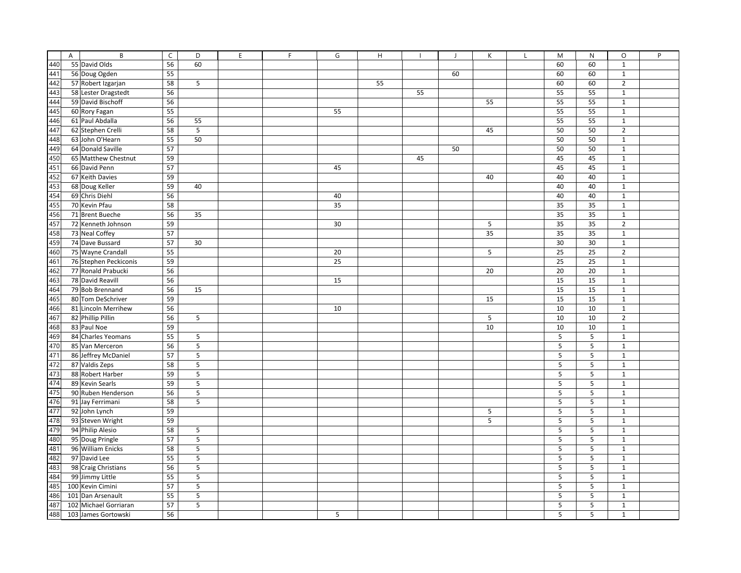|     | A | B                     | $\mathsf C$ | D                       | E | F | G  | H  | $\mathbf{I}$ | J  | К  | M  | N  | $\circ$        | P |
|-----|---|-----------------------|-------------|-------------------------|---|---|----|----|--------------|----|----|----|----|----------------|---|
| 440 |   | 55 David Olds         | 56          | 60                      |   |   |    |    |              |    |    | 60 | 60 | $\mathbf 1$    |   |
| 441 |   | 56 Doug Ogden         | 55          |                         |   |   |    |    |              | 60 |    | 60 | 60 | $\mathbf{1}$   |   |
| 442 |   | 57 Robert Izgarjan    | 58          | $\mathsf S$             |   |   |    | 55 |              |    |    | 60 | 60 | $\overline{2}$ |   |
| 443 |   | 58 Lester Dragstedt   | 56          |                         |   |   |    |    | 55           |    |    | 55 | 55 | $\mathbf 1$    |   |
| 444 |   | 59 David Bischoff     | 56          |                         |   |   |    |    |              |    | 55 | 55 | 55 | $\mathbf{1}$   |   |
| 445 |   | 60 Rory Fagan         | 55          |                         |   |   | 55 |    |              |    |    | 55 | 55 | $\mathbf 1$    |   |
| 446 |   | 61 Paul Abdalla       | 56          | 55                      |   |   |    |    |              |    |    | 55 | 55 | $\mathbf 1$    |   |
| 447 |   | 62 Stephen Crelli     | 58          | $\mathsf S$             |   |   |    |    |              |    | 45 | 50 | 50 | $\overline{2}$ |   |
| 448 |   | 63 John O'Hearn       | 55          | 50                      |   |   |    |    |              |    |    | 50 | 50 | $\mathbf 1$    |   |
| 449 |   | 64 Donald Saville     | 57          |                         |   |   |    |    |              | 50 |    | 50 | 50 | $\mathbf{1}$   |   |
| 450 |   | 65 Matthew Chestnut   | 59          |                         |   |   |    |    | 45           |    |    | 45 | 45 | $\mathbf{1}$   |   |
| 451 |   | 66 David Penn         | 57          |                         |   |   | 45 |    |              |    |    | 45 | 45 | $\mathbf{1}$   |   |
| 452 |   | 67 Keith Davies       | 59          |                         |   |   |    |    |              |    | 40 | 40 | 40 | $\mathbf{1}$   |   |
| 453 |   | 68 Doug Keller        | 59          | 40                      |   |   |    |    |              |    |    | 40 | 40 | $\mathbf{1}$   |   |
| 454 |   | 69 Chris Diehl        | 56          |                         |   |   | 40 |    |              |    |    | 40 | 40 | $\mathbf 1$    |   |
| 455 |   | 70 Kevin Pfau         | 58          |                         |   |   | 35 |    |              |    |    | 35 | 35 | $\mathbf{1}$   |   |
| 456 |   | 71 Brent Bueche       | 56          | 35                      |   |   |    |    |              |    |    | 35 | 35 | $\mathbf{1}$   |   |
| 457 |   | 72 Kenneth Johnson    | 59          |                         |   |   | 30 |    |              |    | 5  | 35 | 35 | $\overline{2}$ |   |
| 458 |   | 73 Neal Coffey        | 57          |                         |   |   |    |    |              |    | 35 | 35 | 35 | $\mathbf 1$    |   |
| 459 |   | 74 Dave Bussard       | 57          | 30                      |   |   |    |    |              |    |    | 30 | 30 | $\mathbf{1}$   |   |
| 460 |   | 75 Wayne Crandall     | 55          |                         |   |   | 20 |    |              |    | 5  | 25 | 25 | $\overline{2}$ |   |
| 461 |   | 76 Stephen Peckiconis | 59          |                         |   |   | 25 |    |              |    |    | 25 | 25 | $\mathbf{1}$   |   |
| 462 |   | 77 Ronald Prabucki    | 56          |                         |   |   |    |    |              |    | 20 | 20 | 20 | $\mathbf{1}$   |   |
| 463 |   | 78 David Reavill      | 56          |                         |   |   | 15 |    |              |    |    | 15 | 15 | $\mathbf 1$    |   |
| 464 |   | 79 Bob Brennand       | 56          | 15                      |   |   |    |    |              |    |    | 15 | 15 | $\mathbf{1}$   |   |
| 465 |   | 80 Tom DeSchriver     | 59          |                         |   |   |    |    |              |    | 15 | 15 | 15 | $\mathbf{1}$   |   |
| 466 |   | 81 Lincoln Merrihew   | 56          |                         |   |   | 10 |    |              |    |    | 10 | 10 | $\mathbf{1}$   |   |
| 467 |   | 82 Phillip Pillin     | 56          | 5                       |   |   |    |    |              |    | 5  | 10 | 10 | $\overline{2}$ |   |
| 468 |   | 83 Paul Noe           | 59          |                         |   |   |    |    |              |    | 10 | 10 | 10 | $\mathbf{1}$   |   |
| 469 |   | 84 Charles Yeomans    | 55          | 5                       |   |   |    |    |              |    |    | 5  | 5  | $\mathbf{1}$   |   |
| 470 |   | 85 Van Merceron       | 56          | $\overline{\mathbf{5}}$ |   |   |    |    |              |    |    | 5  | 5  | $\mathbf{1}$   |   |
| 471 |   | 86 Jeffrey McDaniel   | 57          | $\mathsf S$             |   |   |    |    |              |    |    | 5  | 5  | $\mathbf{1}$   |   |
| 472 |   | 87 Valdis Zeps        | 58          | 5                       |   |   |    |    |              |    |    | 5  | 5  | $\mathbf{1}$   |   |
| 473 |   | 88 Robert Harber      | 59          | 5                       |   |   |    |    |              |    |    | 5  | 5  | $\mathbf{1}$   |   |
| 474 |   | 89 Kevin Searls       | 59          | $\mathsf S$             |   |   |    |    |              |    |    | 5  | 5  | $\mathbf{1}$   |   |
| 475 |   | 90 Ruben Henderson    | 56          | $\mathsf S$             |   |   |    |    |              |    |    | 5  | 5  | $\mathbf{1}$   |   |
| 476 |   | 91 Jay Ferrimani      | 58          | 5                       |   |   |    |    |              |    |    | 5  | 5  | $\mathbf{1}$   |   |
| 477 |   | 92 John Lynch         | 59          |                         |   |   |    |    |              |    | 5  | 5  | 5  | $\mathbf{1}$   |   |
| 478 |   | 93 Steven Wright      | 59          |                         |   |   |    |    |              |    | 5  | 5  | 5  | $\mathbf{1}$   |   |
| 479 |   | 94 Philip Alesio      | 58          | 5                       |   |   |    |    |              |    |    | 5  | 5  | $\mathbf{1}$   |   |
| 480 |   | 95 Doug Pringle       | 57          | $\mathsf S$             |   |   |    |    |              |    |    | 5  | 5  | $\mathbf{1}$   |   |
| 481 |   | 96 William Enicks     | 58          | 5                       |   |   |    |    |              |    |    | 5  | 5  | $\mathbf{1}$   |   |
| 482 |   | 97 David Lee          | 55          | $\overline{\mathbf{5}}$ |   |   |    |    |              |    |    | 5  | 5  | $\mathbf{1}$   |   |
| 483 |   | 98 Craig Christians   | 56          | $\mathsf S$             |   |   |    |    |              |    |    | 5  | 5  | $\mathbf{1}$   |   |
| 484 |   | 99 Jimmy Little       | 55          | $\mathsf S$             |   |   |    |    |              |    |    | 5  | 5  | $\mathbf{1}$   |   |
| 485 |   | 100 Kevin Cimini      | 57          | 5                       |   |   |    |    |              |    |    | 5  | 5  | $\mathbf{1}$   |   |
| 486 |   | 101 Dan Arsenault     | 55          | $\overline{\mathbf{5}}$ |   |   |    |    |              |    |    | 5  | 5  | $\mathbf 1$    |   |
| 487 |   | 102 Michael Gorriaran | 57          | $\mathsf S$             |   |   |    |    |              |    |    | 5  | 5  | $\mathbf 1$    |   |
| 488 |   | 103 James Gortowski   | 56          |                         |   |   | 5  |    |              |    |    | 5  | 5  | $\mathbf 1$    |   |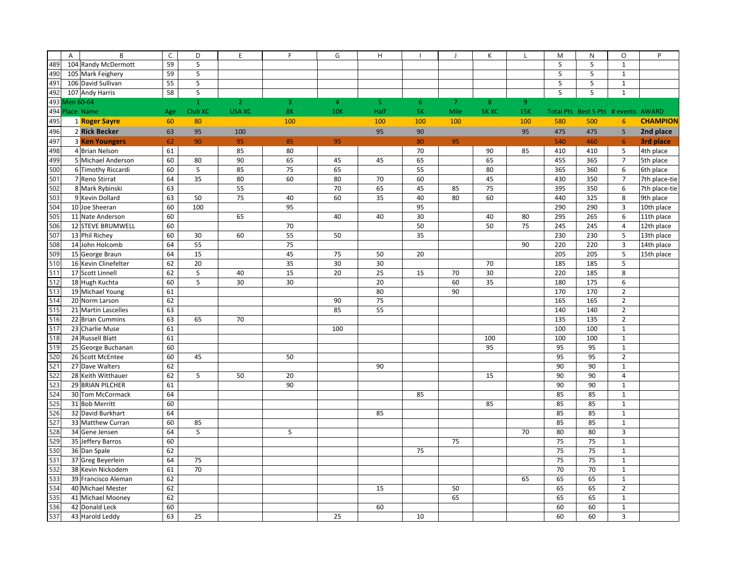|     | B<br>A                | $\mathsf C$ | D            | E              | F   | G              | $\boldsymbol{\mathsf{H}}$ |     | $\mathsf{J}$   | К       | $\mathbf{I}$ | M   | ${\sf N}$                     | $\circ$                 | P               |
|-----|-----------------------|-------------|--------------|----------------|-----|----------------|---------------------------|-----|----------------|---------|--------------|-----|-------------------------------|-------------------------|-----------------|
| 489 | 104 Randy McDermott   | 59          | 5            |                |     |                |                           |     |                |         |              | 5   | 5                             | $\mathbf{1}$            |                 |
| 490 | 105 Mark Feighery     | 59          | $\mathsf S$  |                |     |                |                           |     |                |         |              | 5   | 5                             | $\mathbf 1$             |                 |
| 491 | 106 David Sullivan    | 55          | $\mathsf S$  |                |     |                |                           |     |                |         |              | 5   | 5                             | $\mathbf 1$             |                 |
| 492 | 107 Andy Harris       | 58          | $\sf 5$      |                |     |                |                           |     |                |         |              | 5   | 5                             | $\mathbf 1$             |                 |
| 493 | Men 60-64             |             | $\mathbf{1}$ | $\overline{2}$ | 3   | $\overline{4}$ | 5                         | 6   | $\overline{7}$ | $\bf 8$ | 9            |     |                               |                         |                 |
| 494 | Place Name            | Age         | Club XC      | <b>USA XC</b>  | 8K  | <b>10K</b>     | Half                      | 5K  | Mile           | 5K XC   | 15K          |     | Total Pts Best 5 Pts # events |                         | <b>AWARD</b>    |
| 495 | 1 Roger Sayre         | 60          | 80           |                | 100 |                | 100                       | 100 | 100            |         | 100          | 580 | 500                           | $6\phantom{1}6$         | <b>CHAMPION</b> |
| 496 | 2 Rick Becker         | 63          | 95           | 100            |     |                | 95                        | 90  |                |         | 95           | 475 | 475                           | 5                       | 2nd place       |
| 497 | <b>3 Ken Youngers</b> | 62          | 90           | 95             | 85  | 95             |                           | 80  | 95             |         |              | 540 | 460                           | 6                       | 3rd place       |
| 498 | 4 Brian Nelson        | 61          |              | 85             | 80  |                |                           | 70  |                | 90      | 85           | 410 | 410                           | $\sf 5$                 | 4th place       |
| 499 | 5 Michael Anderson    | 60          | 80           | 90             | 65  | 45             | 45                        | 65  |                | 65      |              | 455 | 365                           | $\overline{7}$          | 5th place       |
| 500 | 6 Timothy Riccardi    | 60          | 5            | 85             | 75  | 65             |                           | 55  |                | 80      |              | 365 | 360                           | $\,6\,$                 | 6th place       |
| 501 | 7 Reno Stirrat        | 64          | 35           | 80             | 60  | 80             | 70                        | 60  |                | 45      |              | 430 | 350                           | $\overline{7}$          | 7th place-tie   |
| 502 | 8 Mark Rybinski       | 63          |              | 55             |     | 70             | 65                        | 45  | 85             | 75      |              | 395 | 350                           | 6                       | 7th place-tie   |
| 503 | 9 Kevin Dollard       | 63          | 50           | 75             | 40  | 60             | 35                        | 40  | 80             | 60      |              | 440 | 325                           | 8                       | 9th place       |
| 504 | 10 Joe Sheeran        | 60          | 100          |                | 95  |                |                           | 95  |                |         |              | 290 | 290                           | $\mathsf 3$             | 10th place      |
| 505 | 11 Nate Anderson      | 60          |              | 65             |     | 40             | 40                        | 30  |                | 40      | 80           | 295 | 265                           | 6                       | 11th place      |
| 506 | 12 STEVE BRUMWELL     | 60          |              |                | 70  |                |                           | 50  |                | 50      | 75           | 245 | 245                           | $\overline{4}$          | 12th place      |
| 507 | 13 Phil Richey        | 60          | 30           | 60             | 55  | 50             |                           | 35  |                |         |              | 230 | 230                           | 5                       | 13th place      |
| 508 | 14 John Holcomb       | 64          | 55           |                | 75  |                |                           |     |                |         | 90           | 220 | 220                           | $\overline{3}$          | 14th place      |
| 509 | 15 George Braun       | 64          | 15           |                | 45  | 75             | 50                        | 20  |                |         |              | 205 | 205                           | 5                       | 15th place      |
| 510 | 16 Kevin Clinefelter  | 62          | 20           |                | 35  | 30             | 30                        |     |                | 70      |              | 185 | 185                           | 5                       |                 |
| 511 | 17 Scott Linnell      | 62          | 5            | 40             | 15  | 20             | 25                        | 15  | 70             | 30      |              | 220 | 185                           | 8                       |                 |
| 512 | 18 Hugh Kuchta        | 60          | 5            | 30             | 30  |                | 20                        |     | 60             | 35      |              | 180 | 175                           | 6                       |                 |
| 513 | 19 Michael Young      | 61          |              |                |     |                | 80                        |     | 90             |         |              | 170 | 170                           | $\overline{2}$          |                 |
| 514 | 20 Norm Larson        | 62          |              |                |     | 90             | 75                        |     |                |         |              | 165 | 165                           | $\overline{2}$          |                 |
| 515 | 21 Martin Lascelles   | 63          |              |                |     | 85             | 55                        |     |                |         |              | 140 | 140                           | $\overline{2}$          |                 |
| 516 | 22 Brian Cummins      | 63          | 65           | 70             |     |                |                           |     |                |         |              | 135 | 135                           | $\overline{2}$          |                 |
| 517 | 23 Charlie Muse       | 61          |              |                |     | 100            |                           |     |                |         |              | 100 | 100                           | $\mathbf 1$             |                 |
| 518 | 24 Russell Blatt      | 61          |              |                |     |                |                           |     |                | 100     |              | 100 | 100                           | $\mathbf 1$             |                 |
| 519 | 25 George Buchanan    | 60          |              |                |     |                |                           |     |                | 95      |              | 95  | 95                            | $\mathbf 1$             |                 |
| 520 | 26 Scott McEntee      | 60          | 45           |                | 50  |                |                           |     |                |         |              | 95  | 95                            | $\overline{2}$          |                 |
| 521 | 27 Dave Walters       | 62          |              |                |     |                | 90                        |     |                |         |              | 90  | 90                            | $\mathbf 1$             |                 |
| 522 | 28 Keith Witthauer    | 62          | 5            | 50             | 20  |                |                           |     |                | 15      |              | 90  | 90                            | $\overline{\mathbf{4}}$ |                 |
| 523 | 29 BRIAN PILCHER      | 61          |              |                | 90  |                |                           |     |                |         |              | 90  | 90                            | $\mathbf 1$             |                 |
| 524 | 30 Tom McCormack      | 64          |              |                |     |                |                           | 85  |                |         |              | 85  | 85                            | $\mathbf 1$             |                 |
| 525 | 31 Bob Merritt        | 60          |              |                |     |                |                           |     |                | 85      |              | 85  | 85                            | $\mathbf{1}$            |                 |
| 526 | 32 David Burkhart     | 64          |              |                |     |                | 85                        |     |                |         |              | 85  | 85                            | $\mathbf 1$             |                 |
| 527 | 33 Matthew Curran     | 60          | 85           |                |     |                |                           |     |                |         |              | 85  | 85                            | $\mathbf 1$             |                 |
| 528 | 34 Gene Jensen        | 64          | 5            |                | 5   |                |                           |     |                |         | 70           | 80  | 80                            | 3                       |                 |
| 529 | 35 Jeffery Barros     | 60          |              |                |     |                |                           |     | 75             |         |              | 75  | 75                            | $\mathbf{1}$            |                 |
| 530 | 36 Dan Spale          | 62          |              |                |     |                |                           | 75  |                |         |              | 75  | 75                            | $\mathbf 1$             |                 |
| 531 | 37 Greg Beyerlein     | 64          | 75           |                |     |                |                           |     |                |         |              | 75  | 75                            | $\mathbf{1}$            |                 |
| 532 | 38 Kevin Nickodem     | 61          | 70           |                |     |                |                           |     |                |         |              | 70  | 70                            | $\mathbf 1$             |                 |
| 533 | 39 Francisco Aleman   | 62          |              |                |     |                |                           |     |                |         | 65           | 65  | 65                            | $\mathbf 1$             |                 |
| 534 | 40 Michael Mester     | 62          |              |                |     |                | 15                        |     | 50             |         |              | 65  | 65                            | $\mathbf 2$             |                 |
| 535 | 41 Michael Mooney     | 62          |              |                |     |                |                           |     | 65             |         |              | 65  | 65                            | $\mathbf 1$             |                 |
| 536 | 42 Donald Leck        | 60          |              |                |     |                | 60                        |     |                |         |              | 60  | 60                            | $\mathbf 1$             |                 |
| 537 | 43 Harold Leddy       | 63          | 25           |                |     | 25             |                           | 10  |                |         |              | 60  | 60                            | $\overline{3}$          |                 |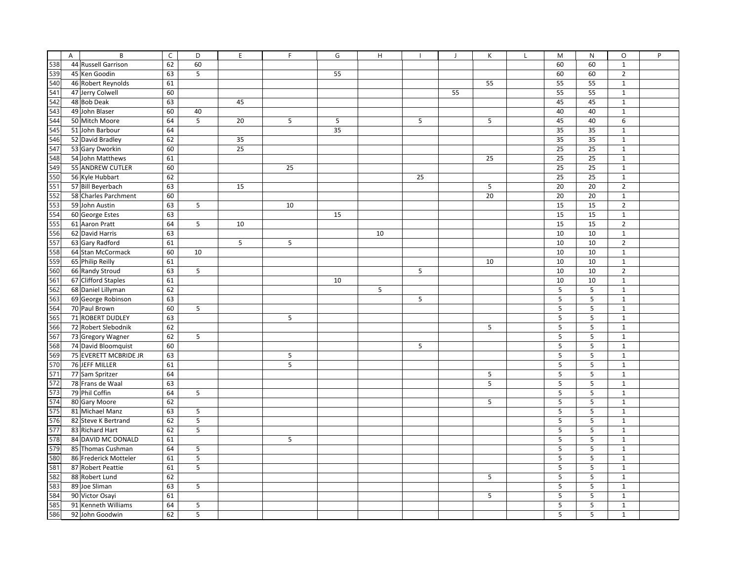|     | $\overline{A}$ | B                                            | $\mathsf C$ | D               | E  | F  | G  | H  |    | $\overline{1}$ | K  | $\mathbf{I}$ | M  | $\mathsf{N}$ | O              | P |
|-----|----------------|----------------------------------------------|-------------|-----------------|----|----|----|----|----|----------------|----|--------------|----|--------------|----------------|---|
| 538 |                | 44 Russell Garrison                          | 62          | 60              |    |    |    |    |    |                |    |              | 60 | 60           | $\mathbf{1}$   |   |
| 539 |                | 45 Ken Goodin                                | 63          | 5               |    |    | 55 |    |    |                |    |              | 60 | 60           | $\overline{2}$ |   |
| 540 |                | 46 Robert Reynolds                           | 61          |                 |    |    |    |    |    |                | 55 |              | 55 | 55           | $\mathbf 1$    |   |
| 541 |                | 47 Jerry Colwell                             | 60          |                 |    |    |    |    |    | 55             |    |              | 55 | 55           | $\mathbf{1}$   |   |
| 542 |                | 48 Bob Deak                                  | 63          |                 | 45 |    |    |    |    |                |    |              | 45 | 45           | $\mathbf{1}$   |   |
| 543 |                | 49 John Blaser                               | 60          | 40              |    |    |    |    |    |                |    |              | 40 | 40           | $\mathbf{1}$   |   |
| 544 |                | 50 Mitch Moore                               | 64          | 5               | 20 | 5  | 5  |    | 5  |                | 5  |              | 45 | 40           | 6              |   |
| 545 |                | 51 John Barbour                              | 64          |                 |    |    | 35 |    |    |                |    |              | 35 | 35           | $\mathbf{1}$   |   |
| 546 |                | 52 David Bradley                             | 62          |                 | 35 |    |    |    |    |                |    |              | 35 | 35           | $\mathbf{1}$   |   |
| 547 |                | 53 Gary Dworkin                              | 60          |                 | 25 |    |    |    |    |                |    |              | 25 | 25           | $\mathbf{1}$   |   |
| 548 |                | 54 John Matthews                             | 61          |                 |    |    |    |    |    |                | 25 |              | 25 | 25           | $\mathbf{1}$   |   |
| 549 |                | 55 ANDREW CUTLER                             | 60          |                 |    | 25 |    |    |    |                |    |              | 25 | 25           | $\mathbf{1}$   |   |
| 550 |                | 56 Kyle Hubbart                              | 62          |                 |    |    |    |    | 25 |                |    |              | 25 | 25           | $\mathbf{1}$   |   |
| 551 |                | 57 Bill Beyerbach                            | 63          |                 | 15 |    |    |    |    |                | 5  |              | 20 | 20           | $\overline{2}$ |   |
| 552 |                | 58 Charles Parchment                         | 60          |                 |    |    |    |    |    |                | 20 |              | 20 | 20           | $\mathbf{1}$   |   |
| 553 |                | 59 John Austin                               | 63          | 5               |    | 10 |    |    |    |                |    |              | 15 | 15           | $\overline{2}$ |   |
| 554 |                | 60 George Estes                              | 63          |                 |    |    | 15 |    |    |                |    |              | 15 | 15           | $\mathbf{1}$   |   |
| 555 |                | 61 Aaron Pratt                               | 64          | 5               | 10 |    |    |    |    |                |    |              | 15 | 15           | $\overline{2}$ |   |
| 556 |                | 62 David Harris                              | 63          |                 |    |    |    | 10 |    |                |    |              | 10 | 10           | $\mathbf{1}$   |   |
| 557 |                | 63 Gary Radford                              | 61          |                 | 5  | 5  |    |    |    |                |    |              | 10 | 10           | $\overline{2}$ |   |
| 558 |                | 64 Stan McCormack                            | 60          | 10              |    |    |    |    |    |                |    |              | 10 | 10           | $\mathbf{1}$   |   |
| 559 |                | 65 Philip Reilly                             | 61          |                 |    |    |    |    |    |                | 10 |              | 10 | 10           | $\mathbf 1$    |   |
| 560 |                | 66 Randy Stroud                              | 63          | 5               |    |    |    |    | 5  |                |    |              | 10 | 10           | $\overline{2}$ |   |
| 561 |                | 67 Clifford Staples                          | 61          |                 |    |    | 10 |    |    |                |    |              | 10 | 10           | $\mathbf{1}$   |   |
| 562 |                | 68 Daniel Lillyman                           | 62          |                 |    |    |    | 5  |    |                |    |              | 5  | 5            | $\mathbf{1}$   |   |
| 563 |                | 69 George Robinson                           | 63          |                 |    |    |    |    | 5  |                |    |              | 5  | 5            | $\mathbf 1$    |   |
| 564 |                | 70 Paul Brown                                | 60          | 5               |    |    |    |    |    |                |    |              | 5  | $\sf 5$      | $\mathbf 1$    |   |
| 565 |                | 71 ROBERT DUDLEY                             | 63          |                 |    | 5  |    |    |    |                |    |              | 5  | 5            | $\mathbf{1}$   |   |
| 566 |                | 72 Robert Slebodnik                          | 62          |                 |    |    |    |    |    |                | 5  |              | 5  | 5            | $\mathbf{1}$   |   |
| 567 |                | 73 Gregory Wagner                            | 62          | 5               |    |    |    |    |    |                |    |              | 5  | 5            | $\mathbf{1}$   |   |
| 568 |                |                                              | 60          |                 |    |    |    |    | 5  |                |    |              | 5  | 5            | $\mathbf{1}$   |   |
| 569 |                | 74 David Bloomquist<br>75 EVERETT MCBRIDE JR | 63          |                 |    | 5  |    |    |    |                |    |              | 5  | 5            | $\mathbf{1}$   |   |
| 570 |                | 76 JEFF MILLER                               | 61          |                 |    | 5  |    |    |    |                |    |              | 5  | 5            | $\mathbf{1}$   |   |
| 571 |                | 77 Sam Spritzer                              | 64          |                 |    |    |    |    |    |                | 5  |              | 5  | 5            | $\mathbf{1}$   |   |
| 572 |                | 78 Frans de Waal                             |             |                 |    |    |    |    |    |                | 5  |              | 5  | 5            | $\mathbf{1}$   |   |
| 573 |                | 79 Phil Coffin                               | 63<br>64    | 5               |    |    |    |    |    |                |    |              | 5  | 5            | $\mathbf{1}$   |   |
| 574 |                |                                              |             |                 |    |    |    |    |    |                |    |              | 5  | 5            |                |   |
| 575 |                | 80 Gary Moore                                | 62          |                 |    |    |    |    |    |                | 5  |              |    |              | $\mathbf{1}$   |   |
|     |                | 81 Michael Manz                              | 63          | 5               |    |    |    |    |    |                |    |              | 5  | 5            | $\mathbf{1}$   |   |
| 576 |                | 82 Steve K Bertrand                          | 62          | $5\phantom{.0}$ |    |    |    |    |    |                |    |              | 5  | 5            | $\mathbf{1}$   |   |
| 577 |                | 83 Richard Hart                              | 62          | 5               |    |    |    |    |    |                |    |              | 5  | 5            | $\mathbf{1}$   |   |
| 578 |                | 84 DAVID MC DONALD                           | 61          |                 |    | 5  |    |    |    |                |    |              | 5  | 5            | $\mathbf{1}$   |   |
| 579 |                | 85 Thomas Cushman                            | 64          | 5               |    |    |    |    |    |                |    |              | 5  | 5            | $\mathbf{1}$   |   |
| 580 |                | 86 Frederick Motteler                        | 61          | 5               |    |    |    |    |    |                |    |              | 5  | 5            | $\mathbf{1}$   |   |
| 581 |                | 87 Robert Peattie                            | 61          | 5               |    |    |    |    |    |                |    |              | 5  | 5            | $\mathbf{1}$   |   |
| 582 |                | 88 Robert Lund                               | 62          |                 |    |    |    |    |    |                | 5  |              | 5  | 5            | $\mathbf{1}$   |   |
| 583 |                | 89 Joe Sliman                                | 63          | 5               |    |    |    |    |    |                |    |              | 5  | 5            | $\mathbf{1}$   |   |
| 584 |                | 90 Victor Osayi                              | 61          |                 |    |    |    |    |    |                | 5  |              | 5  | 5            | $\mathbf{1}$   |   |
| 585 |                | 91 Kenneth Williams                          | 64          | 5               |    |    |    |    |    |                |    |              | 5  | 5            | $\mathbf{1}$   |   |
| 586 |                | 92 John Goodwin                              | 62          | 5               |    |    |    |    |    |                |    |              | 5  | 5            | $\mathbf{1}$   |   |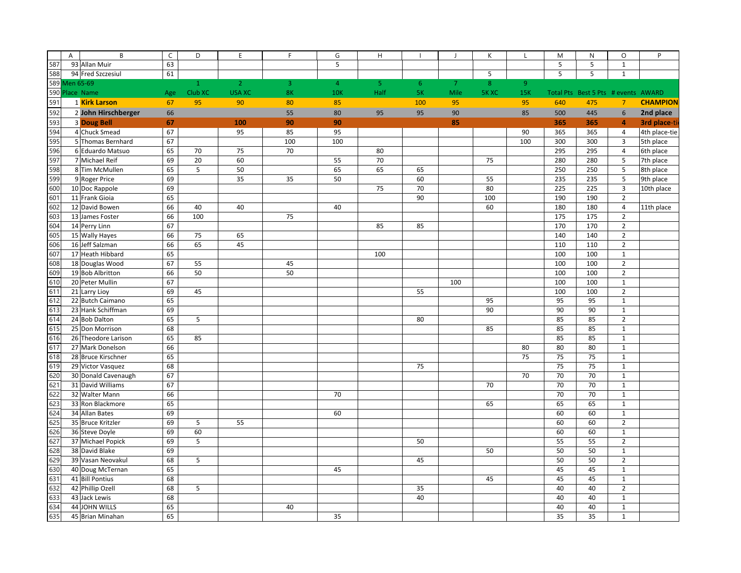|     | A | B                   | $\mathsf C$ | D            | E              | $\mathsf F$    | G                       | $\mathsf H$ |        | $\overline{1}$ | К     | L          | M   | $\mathsf{N}$                        | $\circ$                 | P               |
|-----|---|---------------------|-------------|--------------|----------------|----------------|-------------------------|-------------|--------|----------------|-------|------------|-----|-------------------------------------|-------------------------|-----------------|
| 587 |   | 93 Allan Muir       | 63          |              |                |                | $\overline{\mathbf{5}}$ |             |        |                |       |            | 5   | $\overline{5}$                      | $\mathbf 1$             |                 |
| 588 |   | 94 Fred Szczesiul   | 61          |              |                |                |                         |             |        |                | 5     |            | 5   | 5                                   | $\mathbf 1$             |                 |
|     |   | 589 Men 65-69       |             | $\mathbf{1}$ | 2 <sup>1</sup> | $\overline{3}$ | $\overline{4}$          | 5           | $6 \,$ | $\overline{7}$ | 8     | 9          |     |                                     |                         |                 |
|     |   | 590 Place Name      | Age         | Club XC      | <b>USA XC</b>  | <b>8K</b>      | <b>10K</b>              | Half        | 5K     | Mile           | 5K XC | <b>15K</b> |     | Total Pts Best 5 Pts # events AWARD |                         |                 |
| 591 |   | 1 Kirk Larson       | 67          | 95           | 90             | 80             | 85                      |             | 100    | 95             |       | 95         | 640 | 475                                 | $\overline{7}$          | <b>CHAMPION</b> |
| 592 |   | 2 John Hirschberger | 66          |              |                | 55             | 80                      | 95          | 95     | 90             |       | 85         | 500 | 445                                 | $\boldsymbol{6}$        | 2nd place       |
| 593 |   | <b>3 Doug Bell</b>  | 67          |              | 100            | 90             | 90                      |             |        | 85             |       |            | 365 | 365                                 | $\overline{4}$          | 3rd place-ti    |
| 594 |   | 4 Chuck Smead       | 67          |              | 95             | 85             | 95                      |             |        |                |       | 90         | 365 | 365                                 | $\overline{4}$          | 4th place-tie   |
| 595 |   | 5 Thomas Bernhard   | 67          |              |                | 100            | 100                     |             |        |                |       | 100        | 300 | 300                                 | 3                       | 5th place       |
| 596 |   | 6 Eduardo Matsuo    | 65          | 70           | 75             | 70             |                         | 80          |        |                |       |            | 295 | 295                                 | $\overline{4}$          | 6th place       |
| 597 |   | 7 Michael Reif      | 69          | 20           | 60             |                | 55                      | 70          |        |                | 75    |            | 280 | 280                                 | 5                       | 7th place       |
| 598 |   | 8 Tim McMullen      | 65          | 5            | 50             |                | 65                      | 65          | 65     |                |       |            | 250 | 250                                 | $\overline{\mathbf{5}}$ | 8th place       |
| 599 |   | 9 Roger Price       | 69          |              | 35             | 35             | 50                      |             | 60     |                | 55    |            | 235 | 235                                 | 5                       | 9th place       |
| 600 |   | 10 Doc Rappole      | 69          |              |                |                |                         | 75          | 70     |                | 80    |            | 225 | 225                                 | 3                       | 10th place      |
| 601 |   | 11 Frank Gioia      | 65          |              |                |                |                         |             | 90     |                | 100   |            | 190 | 190                                 | $\overline{2}$          |                 |
| 602 |   | 12 David Bowen      | 66          | 40           | 40             |                | 40                      |             |        |                | 60    |            | 180 | 180                                 | $\pmb{4}$               | 11th place      |
| 603 |   | 13 James Foster     | 66          | 100          |                | 75             |                         |             |        |                |       |            | 175 | 175                                 | $\mathbf 2$             |                 |
| 604 |   | 14 Perry Linn       | 67          |              |                |                |                         | 85          | 85     |                |       |            | 170 | 170                                 | $\mathbf 2$             |                 |
| 605 |   | 15 Wally Hayes      | 66          | 75           | 65             |                |                         |             |        |                |       |            | 140 | 140                                 | $\overline{2}$          |                 |
| 606 |   | 16 Jeff Salzman     | 66          | 65           | 45             |                |                         |             |        |                |       |            | 110 | 110                                 | $\mathbf 2$             |                 |
| 607 |   | 17 Heath Hibbard    | 65          |              |                |                |                         | 100         |        |                |       |            | 100 | 100                                 | $\mathbf 1$             |                 |
| 608 |   | 18 Douglas Wood     | 67          | 55           |                | 45             |                         |             |        |                |       |            | 100 | 100                                 | $\overline{2}$          |                 |
| 609 |   | 19 Bob Albritton    | 66          | 50           |                | 50             |                         |             |        |                |       |            | 100 | 100                                 | $\overline{2}$          |                 |
| 610 |   | 20 Peter Mullin     | 67          |              |                |                |                         |             |        | 100            |       |            | 100 | 100                                 | $\mathbf 1$             |                 |
| 611 |   | 21 Larry Lioy       | 69          | 45           |                |                |                         |             | 55     |                |       |            | 100 | 100                                 | $\mathbf 2$             |                 |
| 612 |   | 22 Butch Caimano    | 65          |              |                |                |                         |             |        |                | 95    |            | 95  | 95                                  | $\mathbf 1$             |                 |
| 613 |   | 23 Hank Schiffman   | 69          |              |                |                |                         |             |        |                | 90    |            | 90  | 90                                  | $\mathbf 1$             |                 |
| 614 |   | 24 Bob Dalton       | 65          | 5            |                |                |                         |             | 80     |                |       |            | 85  | 85                                  | $\mathbf 2$             |                 |
| 615 |   | 25 Don Morrison     | 68          |              |                |                |                         |             |        |                | 85    |            | 85  | 85                                  | $\mathbf 1$             |                 |
| 616 |   | 26 Theodore Larison | 65          | 85           |                |                |                         |             |        |                |       |            | 85  | 85                                  | $\mathbf 1$             |                 |
| 617 |   | 27 Mark Donelson    | 66          |              |                |                |                         |             |        |                |       | 80         | 80  | 80                                  | $\mathbf 1$             |                 |
| 618 |   | 28 Bruce Kirschner  | 65          |              |                |                |                         |             |        |                |       | 75         | 75  | 75                                  | $\mathbf 1$             |                 |
| 619 |   | 29 Victor Vasquez   | 68          |              |                |                |                         |             | 75     |                |       |            | 75  | 75                                  | $\mathbf 1$             |                 |
| 620 |   | 30 Donald Cavenaugh | 67          |              |                |                |                         |             |        |                |       | 70         | 70  | 70                                  | $\mathbf 1$             |                 |
| 621 |   | 31 David Williams   | 67          |              |                |                |                         |             |        |                | 70    |            | 70  | 70                                  | $\mathbf 1$             |                 |
| 622 |   | 32 Walter Mann      | 66          |              |                |                | 70                      |             |        |                |       |            | 70  | 70                                  | $\mathbf 1$             |                 |
| 623 |   | 33 Ron Blackmore    | 65          |              |                |                |                         |             |        |                | 65    |            | 65  | 65                                  | $\mathbf 1$             |                 |
| 624 |   | 34 Allan Bates      | 69          |              |                |                | 60                      |             |        |                |       |            | 60  | 60                                  | $\mathbf 1$             |                 |
| 625 |   | 35 Bruce Kritzler   | 69          | 5            | 55             |                |                         |             |        |                |       |            | 60  | 60                                  | $\overline{2}$          |                 |
| 626 |   | 36 Steve Doyle      | 69          | 60           |                |                |                         |             |        |                |       |            | 60  | 60                                  | $\mathbf 1$             |                 |
| 627 |   | 37 Michael Popick   | 69          | 5            |                |                |                         |             | 50     |                |       |            | 55  | 55                                  | $\mathbf 2$             |                 |
| 628 |   | 38 David Blake      | 69          |              |                |                |                         |             |        |                | 50    |            | 50  | 50                                  | $\mathbf 1$             |                 |
| 629 |   | 39 Vasan Neovakul   | 68          | 5            |                |                |                         |             | 45     |                |       |            | 50  | 50                                  | $\mathbf 2$             |                 |
| 630 |   | 40 Doug McTernan    | 65          |              |                |                | 45                      |             |        |                |       |            | 45  | 45                                  | $\mathbf 1$             |                 |
| 631 |   | 41 Bill Pontius     | 68          |              |                |                |                         |             |        |                | 45    |            | 45  | 45                                  | $\mathbf 1$             |                 |
| 632 |   | 42 Phillip Ozell    | 68          | 5            |                |                |                         |             | 35     |                |       |            | 40  | 40                                  | $\overline{2}$          |                 |
| 633 |   | 43 Jack Lewis       | 68          |              |                |                |                         |             | 40     |                |       |            | 40  | 40                                  | $\mathbf 1$             |                 |
| 634 |   | 44 JOHN WILLS       | 65          |              |                | 40             |                         |             |        |                |       |            | 40  | 40                                  | $\mathbf 1$             |                 |
| 635 |   | 45 Brian Minahan    | 65          |              |                |                | 35                      |             |        |                |       |            | 35  | 35                                  | $\mathbf 1$             |                 |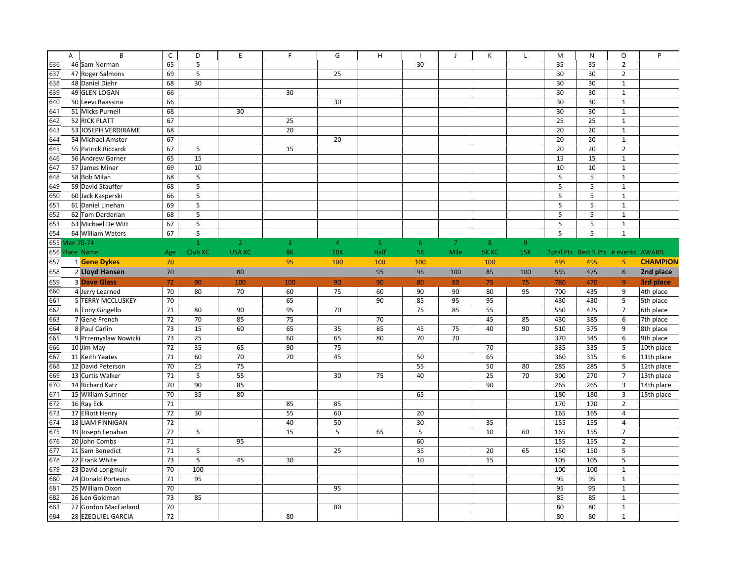|     | A | B                    | $\mathsf C$ | D            | E              | F   | G              | $\boldsymbol{\mathsf{H}}$ |                | $\mathbf{J}$   | К            | L   | M   | $\mathsf{N}$                        | $\circ$                  | P               |
|-----|---|----------------------|-------------|--------------|----------------|-----|----------------|---------------------------|----------------|----------------|--------------|-----|-----|-------------------------------------|--------------------------|-----------------|
| 636 |   | 46 Sam Norman        | 65          | 5            |                |     |                |                           | 30             |                |              |     | 35  | 35                                  | $\overline{2}$           |                 |
| 637 |   | 47 Roger Salmons     | 69          | 5            |                |     | 25             |                           |                |                |              |     | 30  | 30                                  | $\overline{2}$           |                 |
| 638 |   | 48 Daniel Diehr      | 68          | 30           |                |     |                |                           |                |                |              |     | 30  | 30                                  | $\mathbf 1$              |                 |
| 639 |   | 49 GLEN LOGAN        | 66          |              |                | 30  |                |                           |                |                |              |     | 30  | 30                                  | $\mathbf 1$              |                 |
| 640 |   | 50 Leevi Raassina    | 66          |              |                |     | 30             |                           |                |                |              |     | 30  | 30                                  | $\mathbf 1$              |                 |
| 641 |   | 51 Micks Purnell     | 68          |              | 30             |     |                |                           |                |                |              |     | 30  | 30                                  | $\mathbf 1$              |                 |
| 642 |   | 52 RICK PLATT        | 67          |              |                | 25  |                |                           |                |                |              |     | 25  | 25                                  | $\mathbf 1$              |                 |
| 643 |   | 53 JOSEPH VERDIRAME  | 68          |              |                | 20  |                |                           |                |                |              |     | 20  | 20                                  | $\mathbf 1$              |                 |
| 644 |   | 54 Michael Amster    | 67          |              |                |     | 20             |                           |                |                |              |     | 20  | 20                                  | $\mathbf 1$              |                 |
| 645 |   | 55 Patrick Riccardi  | 67          | 5            |                | 15  |                |                           |                |                |              |     | 20  | 20                                  | $\overline{2}$           |                 |
| 646 |   | 56 Andrew Garner     | 65          | 15           |                |     |                |                           |                |                |              |     | 15  | 15                                  | $\mathbf 1$              |                 |
| 647 |   | 57 James Miner       | 69          | 10           |                |     |                |                           |                |                |              |     | 10  | 10                                  | $\mathbf{1}$             |                 |
| 648 |   | 58 Bob Milan         | 68          | 5            |                |     |                |                           |                |                |              |     | 5   | 5                                   | $\mathbf{1}$             |                 |
| 649 |   | 59 David Stauffer    | 68          | $\mathsf S$  |                |     |                |                           |                |                |              |     | 5   | 5                                   | $\mathbf{1}$             |                 |
| 650 |   | 60 Jack Kasperski    | 66          | $\mathsf S$  |                |     |                |                           |                |                |              |     | 5   | 5                                   | $\mathbf{1}$             |                 |
| 651 |   | 61 Daniel Linehan    | 69          | 5            |                |     |                |                           |                |                |              |     | 5   | 5                                   | $\mathbf 1$              |                 |
| 652 |   | 62 Tom Derderian     | 68          | $\mathsf S$  |                |     |                |                           |                |                |              |     | 5   | 5                                   | $\mathbf 1$              |                 |
| 653 |   | 63 Michael De Witt   | 67          | 5            |                |     |                |                           |                |                |              |     | 5   | 5                                   | $\mathbf 1$              |                 |
| 654 |   | 64 William Waters    | 67          | $\sqrt{5}$   |                |     |                |                           |                |                |              |     | 5   | 5                                   | $\mathbf{1}$             |                 |
|     |   | 655 Men 70-74        |             | $\mathbf{1}$ | $\overline{2}$ | 3   | $\overline{4}$ | 5 <sub>o</sub>            | 6 <sup>°</sup> | $\overline{7}$ | 8            | 9   |     |                                     |                          |                 |
|     |   | 656 Place Name       | Age         | Club XC      | <b>USA XC</b>  | 8K  | <b>10K</b>     | Half                      | <b>5K</b>      | Mile           | <b>5K XC</b> | 15K |     | Total Pts Best 5 Pts # events AWARD |                          |                 |
| 657 |   | 1 Gene Dykes         | 70          |              |                | 95  | 100            | 100                       | 100            |                | 100          |     | 495 | 495                                 | 5                        | <b>CHAMPION</b> |
| 658 |   | 2 Lloyd Hansen       | 70          |              | 80             |     |                | 95                        | 95             | 100            | 85           | 100 | 555 | 475                                 | $6\phantom{1}$           | 2nd place       |
| 659 |   | <b>3 Dave Glass</b>  | 72          | 90           | 100            | 100 | 90             | 90                        | 80             | 80             | 75           | 75  | 780 | 470                                 | $\overline{9}$           | 3rd place       |
| 660 |   | 4 Jerry Learned      | 70          | 80           | 70             | 60  | 75             | 60                        | 90             | 90             | 80           | 95  | 700 | 435                                 | 9                        | 4th place       |
| 661 |   | 5 TERRY MCCLUSKEY    | 70          |              |                | 65  |                | 90                        | 85             | 95             | 95           |     | 430 | 430                                 | 5                        | 5th place       |
| 662 |   | 6 Tony Gingello      | 71          | 80           | 90             | 95  | 70             |                           | 75             | 85             | 55           |     | 550 | 425                                 | $\overline{\phantom{a}}$ | 6th place       |
| 663 |   | 7 Gene French        | 72          | 70           | 85             | 75  |                | 70                        |                |                | 45           | 85  | 430 | 385                                 | 6                        | 7th place       |
| 664 |   | 8 Paul Carlin        | 73          | 15           | 60             | 65  | 35             | 85                        | 45             | 75             | 40           | 90  | 510 | 375                                 | $\boldsymbol{9}$         | 8th place       |
| 665 |   | 9 Przemyslaw Nowicki | 73          | 25           |                | 60  | 65             | 80                        | 70             | 70             |              |     | 370 | 345                                 | 6                        | 9th place       |
| 666 |   | 10 Jim May           | 72          | 35           | 65             | 90  | 75             |                           |                |                | 70           |     | 335 | 335                                 | 5                        | 10th place      |
| 667 |   | 11 Keith Yeates      | 71          | 60           | 70             | 70  | 45             |                           | 50             |                | 65           |     | 360 | 315                                 | 6                        | 11th place      |
| 668 |   | 12 David Peterson    | 70          | 25           | 75             |     |                |                           | 55             |                | 50           | 80  | 285 | 285                                 | 5                        | 12th place      |
| 669 |   | 13 Curtis Walker     | 71          | 5            | 55             |     | 30             | 75                        | 40             |                | 25           | 70  | 300 | 270                                 | $\overline{7}$           | 13th place      |
| 670 |   | 14 Richard Katz      | $70\,$      | 90           | 85             |     |                |                           |                |                | 90           |     | 265 | 265                                 | $\overline{3}$           | 14th place      |
| 671 |   | 15 William Sumner    | 70          | 35           | 80             |     |                |                           | 65             |                |              |     | 180 | 180                                 | $\overline{3}$           | 15th place      |
| 672 |   | 16 Ray Eck           | $71\,$      |              |                | 85  | 85             |                           |                |                |              |     | 170 | 170                                 | $\overline{2}$           |                 |
| 673 |   | 17 Elliott Henry     | 72          | 30           |                | 55  | 60             |                           | 20             |                |              |     | 165 | 165                                 | 4                        |                 |
| 674 |   | 18 LIAM FINNIGAN     | 72          |              |                | 40  | 50             |                           | 30             |                | 35           |     | 155 | 155                                 | $\overline{4}$           |                 |
| 675 |   | 19 Joseph Lenahan    | 72          | $\mathsf S$  |                | 15  | 5              | 65                        | $\mathsf S$    |                | 10           | 60  | 165 | 155                                 | $\overline{7}$           |                 |
| 676 |   | 20 John Combs        | 71          |              | 95             |     |                |                           | 60             |                |              |     | 155 | 155                                 | $\mathbf 2$              |                 |
| 677 |   | 21 Sam Benedict      | 71          | $\mathsf S$  |                |     | 25             |                           | 35             |                | 20           | 65  | 150 | 150                                 | 5                        |                 |
| 678 |   | 22 Frank White       | 73          | $\mathsf S$  | 45             | 30  |                |                           | 10             |                | 15           |     | 105 | 105                                 | 5                        |                 |
| 679 |   | 23 David Longmuir    | 70          | 100          |                |     |                |                           |                |                |              |     | 100 | 100                                 | $\mathbf 1$              |                 |
| 680 |   | 24 Donald Porteous   | 71          | 95           |                |     |                |                           |                |                |              |     | 95  | 95                                  | $\mathbf 1$              |                 |
| 681 |   | 25 William Dixon     | 70          |              |                |     | 95             |                           |                |                |              |     | 95  | 95                                  | $\mathbf 1$              |                 |
| 682 |   | 26 Len Goldman       | 73          | 85           |                |     |                |                           |                |                |              |     | 85  | 85                                  | $\mathbf 1$              |                 |
| 683 |   | 27 Gordon MacFarland | 70          |              |                |     | 80             |                           |                |                |              |     | 80  | 80                                  | $\mathbf 1$              |                 |
| 684 |   | 28 EZEQUIEL GARCIA   | 72          |              |                | 80  |                |                           |                |                |              |     | 80  | 80                                  | $\mathbf 1$              |                 |
|     |   |                      |             |              |                |     |                |                           |                |                |              |     |     |                                     |                          |                 |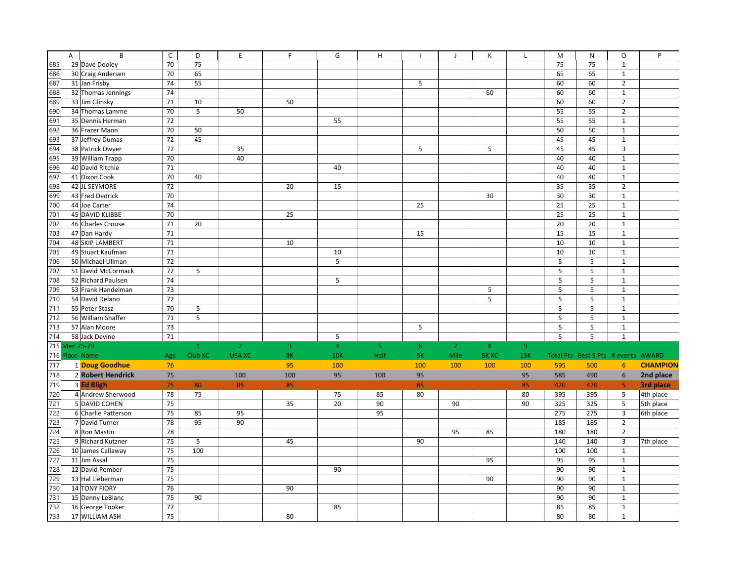|     | A             | B                   | $\mathsf C$ | D            | E              | F              | G              | H              |                | $\blacksquare$ | K              | L   | M               | ${\sf N}$                           | $\circ$        | $\sf P$         |
|-----|---------------|---------------------|-------------|--------------|----------------|----------------|----------------|----------------|----------------|----------------|----------------|-----|-----------------|-------------------------------------|----------------|-----------------|
| 685 |               | 29 Dave Dooley      | 70          | 75           |                |                |                |                |                |                |                |     | $\overline{75}$ | $\overline{75}$                     | $\mathbf 1$    |                 |
| 686 |               | 30 Craig Andersen   | 70          | 65           |                |                |                |                |                |                |                |     | 65              | 65                                  | $\mathbf 1$    |                 |
| 687 |               | 31 Jan Frisby       | 74          | 55           |                |                |                |                | 5              |                |                |     | 60              | 60                                  | $\mathbf 2$    |                 |
| 688 |               | 32 Thomas Jennings  | 74          |              |                |                |                |                |                |                | 60             |     | 60              | 60                                  | $\mathbf 1$    |                 |
| 689 |               | 33 Jim Glinsky      | 71          | 10           |                | 50             |                |                |                |                |                |     | 60              | 60                                  | $\overline{2}$ |                 |
| 690 |               | 34 Thomas Lamme     | 70          | 5            | 50             |                |                |                |                |                |                |     | 55              | 55                                  | $\mathbf 2$    |                 |
| 691 |               | 35 Dennis Herman    | 72          |              |                |                | 55             |                |                |                |                |     | 55              | 55                                  | $\mathbf 1$    |                 |
| 692 |               | 36 Frazer Mann      | 70          | 50           |                |                |                |                |                |                |                |     | 50              | 50                                  | $\mathbf 1$    |                 |
| 693 |               | 37 Jeffrey Dumas    | 72          | 45           |                |                |                |                |                |                |                |     | 45              | 45                                  | $\mathbf 1$    |                 |
| 694 |               | 38 Patrick Dwyer    | 72          |              | 35             |                |                |                | 5              |                | 5              |     | 45              | 45                                  | $\overline{3}$ |                 |
| 695 |               | 39 William Trapp    | 70          |              | 40             |                |                |                |                |                |                |     | 40              | 40                                  | $\mathbf{1}$   |                 |
| 696 |               | 40 David Ritchie    | 71          |              |                |                | 40             |                |                |                |                |     | 40              | 40                                  | $\mathbf 1$    |                 |
| 697 |               | 41 Dixon Cook       | 70          | 40           |                |                |                |                |                |                |                |     | 40              | 40                                  | $\mathbf{1}$   |                 |
| 698 |               | 42 JL SEYMORE       | 72          |              |                | 20             | 15             |                |                |                |                |     | 35              | 35                                  | $\overline{2}$ |                 |
| 699 |               | 43 Fred Dedrick     | 70          |              |                |                |                |                |                |                | 30             |     | 30              | 30                                  | $\mathbf 1$    |                 |
| 700 |               | 44 Joe Carter       | 74          |              |                |                |                |                | 25             |                |                |     | 25              | 25                                  | $\mathbf 1$    |                 |
| 701 |               | 45 DAVID KLIBBE     | 70          |              |                | 25             |                |                |                |                |                |     | 25              | 25                                  | $\mathbf 1$    |                 |
| 702 |               | 46 Charles Crouse   | 71          | 20           |                |                |                |                |                |                |                |     | 20              | 20                                  | $\mathbf 1$    |                 |
| 703 |               | 47 Dan Hardy        | 71          |              |                |                |                |                | 15             |                |                |     | 15              | 15                                  | $\mathbf 1$    |                 |
| 704 |               | 48 SKIP LAMBERT     | 71          |              |                | 10             |                |                |                |                |                |     | 10              | 10                                  | $\mathbf{1}$   |                 |
| 705 |               | 49 Stuart Kaufman   | 71          |              |                |                | 10             |                |                |                |                |     | 10              | 10                                  | $\mathbf 1$    |                 |
| 706 |               | 50 Michael Ullman   | 72          |              |                |                | 5              |                |                |                |                |     | 5               | 5                                   | $\mathbf 1$    |                 |
| 707 |               | 51 David McCormack  | 72          | 5            |                |                |                |                |                |                |                |     | 5               | 5                                   | $\mathbf 1$    |                 |
| 708 |               | 52 Richard Paulsen  | 74          |              |                |                | 5              |                |                |                |                |     | 5               | 5                                   | $\mathbf 1$    |                 |
| 709 |               | 53 Frank Handelman  | 73          |              |                |                |                |                |                |                | 5              |     | 5               | 5                                   | $\mathbf 1$    |                 |
| 710 |               | 54 David Delano     | 72          |              |                |                |                |                |                |                | 5              |     | 5               | 5                                   | $\mathbf 1$    |                 |
| 711 |               | 55 Peter Stasz      | 70          | 5            |                |                |                |                |                |                |                |     | 5               | 5                                   | $\mathbf 1$    |                 |
| 712 |               | 56 William Shaffer  | 71          | 5            |                |                |                |                |                |                |                |     | 5               | 5                                   | $\mathbf 1$    |                 |
| 713 |               | 57 Alan Moore       | 73          |              |                |                |                |                | 5              |                |                |     | 5               | 5                                   | $\mathbf 1$    |                 |
| 714 |               | 58 Jack Devine      | 71          |              |                |                | 5              |                |                |                |                |     | 5               | 5                                   | $\mathbf{1}$   |                 |
|     | 715 Men 75-79 |                     |             | $\mathbf{1}$ | 2 <sup>1</sup> | $\overline{3}$ | $\overline{4}$ | 5 <sub>1</sub> | 6 <sup>°</sup> | $\overline{7}$ | 8 <sup>°</sup> | 9   |                 |                                     |                |                 |
|     |               | 716 Place Name      | Age         | Club XC      | <b>USA XC</b>  | 8 <sub>K</sub> | <b>10K</b>     | Half           | 5K             | Mile           | <b>5K XC</b>   | 15K |                 | Total Pts Best 5 Pts # events AWARD |                |                 |
| 717 |               | 1 Doug Goodhue      | 76          |              |                | 95             | 100            |                | 100            | 100            | 100            | 100 | 595             | 500                                 | 6 <sup>1</sup> | <b>CHAMPION</b> |
| 718 |               | 2 Robert Hendrick   | 75          |              | 100            | 100            | 95             | 100            | 95             |                |                | 95  | 585             | 490                                 | $6\phantom{1}$ |                 |
|     |               |                     |             |              |                |                |                |                |                |                |                |     |                 |                                     | $\overline{5}$ | 2nd place       |
| 719 |               | 3 Ed Bligh          | 75          | 80           | 85             | 85             |                |                | 85             |                |                | 85  | 420             | 420                                 |                | 3rd place       |
| 720 |               | 4 Andrew Sherwood   | 78          | 75           |                |                | 75             | 85             | 80             |                |                | 80  | 395             | 395                                 | 5              | 4th place       |
| 721 |               | 5 DAVID COHEN       | 75          |              |                | 35             | 20             | 90             |                | 90             |                | 90  | 325             | 325                                 | 5              | 5th place       |
| 722 |               | 6 Charlie Patterson | 75          | 85           | 95             |                |                | 95             |                |                |                |     | 275             | 275                                 | 3              | 6th place       |
| 723 |               | 7 David Turner      | 78          | 95           | 90             |                |                |                |                |                |                |     | 185             | 185                                 | $\overline{2}$ |                 |
| 724 |               | 8 Ron Mastin        | 78          |              |                |                |                |                |                | 95             | 85             |     | 180             | 180                                 | $\overline{2}$ |                 |
| 725 |               | 9 Richard Kutzner   | 75          | 5            |                | 45             |                |                | 90             |                |                |     | 140             | 140                                 | 3              | 7th place       |
| 726 |               | 10 James Callaway   | 75          | 100          |                |                |                |                |                |                |                |     | 100             | 100                                 | $\mathbf{1}$   |                 |
| 727 |               | 11 Jim Assal        | 75          |              |                |                |                |                |                |                | 95             |     | 95              | 95                                  | $\mathbf 1$    |                 |
| 728 |               | 12 David Pember     | 75          |              |                |                | 90             |                |                |                |                |     | 90              | 90                                  | $\,1\,$        |                 |
| 729 |               | 13 Hal Lieberman    | 75          |              |                |                |                |                |                |                | 90             |     | 90              | 90                                  | $\mathbf 1$    |                 |
| 730 |               | 14 TONY FIORY       | 76          |              |                | 90             |                |                |                |                |                |     | 90              | 90                                  | $\mathbf 1$    |                 |
| 731 |               | 15 Denny LeBlanc    | 75          | 90           |                |                |                |                |                |                |                |     | 90              | 90                                  | $\mathbf 1$    |                 |
| 732 |               | 16 George Tooker    | 77          |              |                |                | 85             |                |                |                |                |     | 85              | 85                                  | $\mathbf 1$    |                 |
| 733 |               | 17 WILLIAM ASH      | 75          |              |                | 80             |                |                |                |                |                |     | 80              | 80                                  | $\mathbf 1$    |                 |